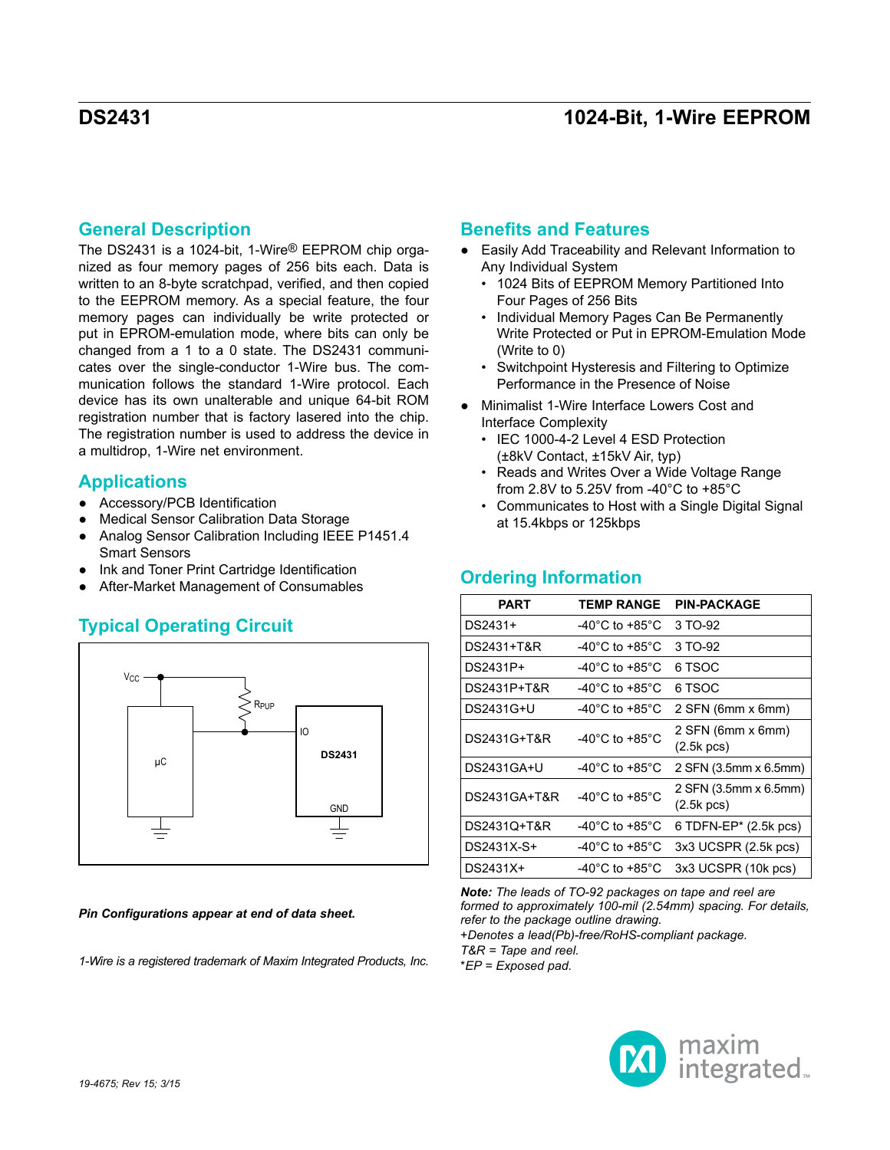## **General Description**

The DS2431 is a 1024-bit, 1-Wire® EEPROM chip organized as four memory pages of 256 bits each. Data is written to an 8-byte scratchpad, verified, and then copied to the EEPROM memory. As a special feature, the four memory pages can individually be write protected or put in EPROM-emulation mode, where bits can only be changed from a 1 to a 0 state. The DS2431 communicates over the single-conductor 1-Wire bus. The communication follows the standard 1-Wire protocol. Each device has its own unalterable and unique 64-bit ROM registration number that is factory lasered into the chip. The registration number is used to address the device in a multidrop, 1-Wire net environment.

## **Applications**

- Accessory/PCB Identification
- **Medical Sensor Calibration Data Storage**
- Analog Sensor Calibration Including IEEE P1451.4 Smart Sensors
- Ink and Toner Print Cartridge Identification
- After-Market Management of Consumables

# **Typical Operating Circuit**



*Pin Configurations appear at end of data sheet.*

*1-Wire is a registered trademark of Maxim Integrated Products, Inc.*

## **Benefits and Features**

- Easily Add Traceability and Relevant Information to Any Individual System
	- 1024 Bits of EEPROM Memory Partitioned Into Four Pages of 256 Bits
	- Individual Memory Pages Can Be Permanently Write Protected or Put in EPROM-Emulation Mode (Write to 0)
	- Switchpoint Hysteresis and Filtering to Optimize Performance in the Presence of Noise
- Minimalist 1-Wire Interface Lowers Cost and Interface Complexity
	- IEC 1000-4-2 Level 4 ESD Protection (±8kV Contact, ±15kV Air, typ)
	- Reads and Writes Over a Wide Voltage Range from 2.8V to 5.25V from -40°C to +85°C
	- Communicates to Host with a Single Digital Signal at 15.4kbps or 125kbps

### **Ordering Information**

| PART         | <b>TEMP RANGE</b>                    | <b>PIN-PACKAGE</b>                            |
|--------------|--------------------------------------|-----------------------------------------------|
| DS2431+      | -40°C to +85°C                       | 3 TO-92                                       |
| DS2431+T&R   | -40°C to +85°C                       | 3 TO-92                                       |
| DS2431P+     | -40°C to +85°C                       | 6 TSOC                                        |
| DS2431P+T&R  | -40°C to +85°C                       | 6 TSOC                                        |
| DS2431G+U    | -40°C to +85°C                       | 2 SFN (6mm x 6mm)                             |
| DS2431G+T&R  | -40 $^{\circ}$ C to +85 $^{\circ}$ C | 2 SFN (6mm x 6mm)<br>$(2.5k$ pcs)             |
| DS2431GA+U   | -40°C to +85°C                       | 2 SFN (3.5mm x 6.5mm)                         |
| DS2431GA+T&R | -40 $^{\circ}$ C to +85 $^{\circ}$ C | 2 SFN (3.5mm x 6.5mm)<br>$(2.5k \text{ pcs})$ |
| DS2431Q+T&R  | -40°C to +85°C                       | 6 TDFN-EP* (2.5k pcs)                         |
| DS2431X-S+   | -40°C to +85°C                       | 3x3 UCSPR (2.5k pcs)                          |
| DS2431X+     | -40°C to +85°C                       | 3x3 UCSPR (10k pcs)                           |

*Note: The leads of TO-92 packages on tape and reel are formed to approximately 100-mil (2.54mm) spacing. For details, refer to the package outline drawing.*

+*Denotes a lead(Pb)-free/RoHS-compliant package. T&R = Tape and reel.*

\**EP = Exposed pad.*

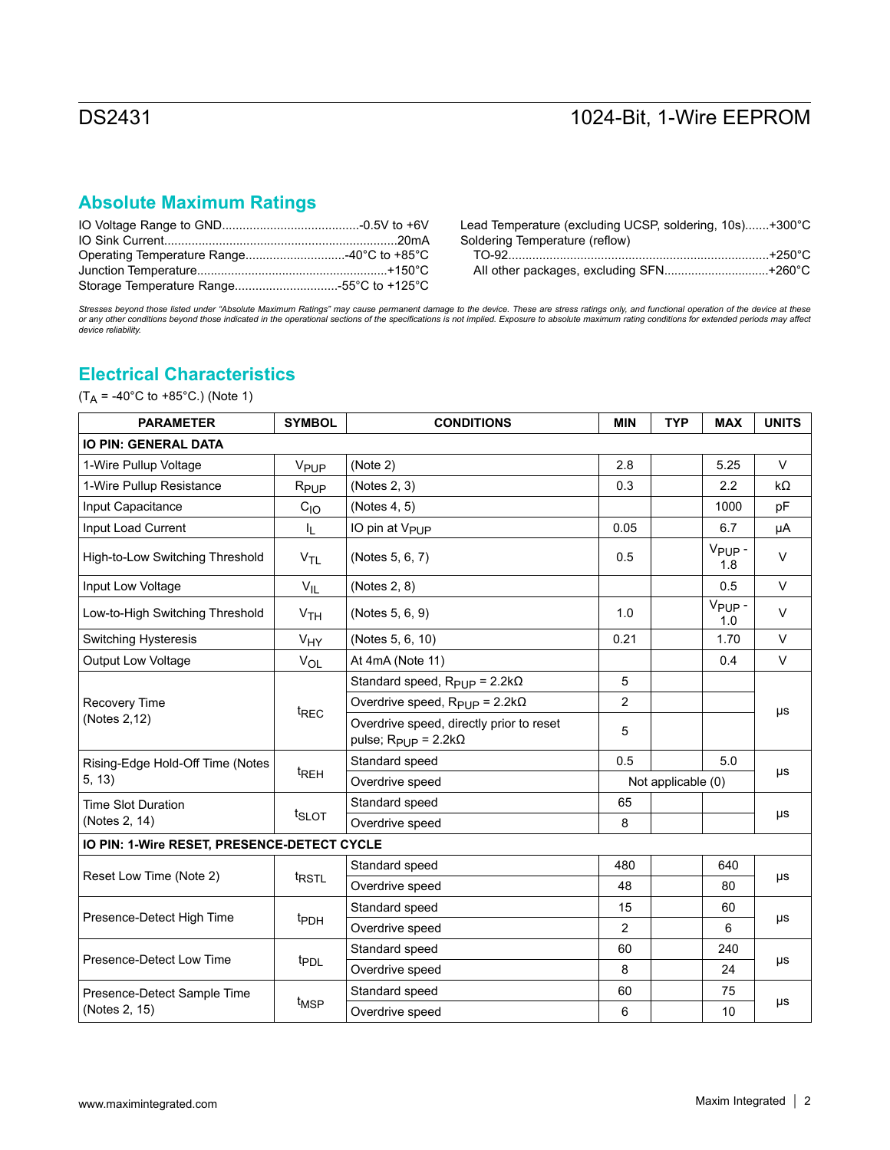# **Absolute Maximum Ratings**

Lead Temperature (excluding UCSP, soldering, 10s).......+300°C Soldering Temperature (reflow)

| All other packages, excluding SFN+260°C |  |  |
|-----------------------------------------|--|--|

Stresses beyond those listed under "Absolute Maximum Ratings" may cause permanent damage to the device. These are stress ratings only, and functional operation of the device at these<br>or any other conditions beyond those in

## **Electrical Characteristics**

 $(T_A = -40^{\circ}$ C to  $+85^{\circ}$ C.) (Note 1)

| <b>PARAMETER</b>                            | <b>SYMBOL</b>     | <b>CONDITIONS</b>                                                                        | <b>MIN</b>     | <b>TYP</b>         | <b>MAX</b>                | <b>UNITS</b> |
|---------------------------------------------|-------------------|------------------------------------------------------------------------------------------|----------------|--------------------|---------------------------|--------------|
| <b>IO PIN: GENERAL DATA</b>                 |                   |                                                                                          |                |                    |                           |              |
| 1-Wire Pullup Voltage                       | V <sub>PUP</sub>  | (Note 2)                                                                                 | 2.8            |                    | 5.25                      | $\vee$       |
| 1-Wire Pullup Resistance                    | R <sub>PUP</sub>  | (Notes 2, 3)                                                                             | 0.3            |                    | 2.2                       | $k\Omega$    |
| Input Capacitance                           | $C_{10}$          | (Notes 4, 5)                                                                             |                |                    | 1000                      | pF           |
| Input Load Current                          | ı,                | IO pin at V <sub>PUP</sub>                                                               | 0.05           |                    | 6.7                       | μA           |
| High-to-Low Switching Threshold             | V <sub>TL</sub>   | (Notes 5, 6, 7)                                                                          | 0.5            |                    | V <sub>PUP</sub> -<br>1.8 | $\vee$       |
| Input Low Voltage                           | $V_{IL}$          | (Notes 2, 8)                                                                             |                |                    | 0.5                       | $\vee$       |
| Low-to-High Switching Threshold             | V <sub>TH</sub>   | (Notes 5, 6, 9)                                                                          | 1.0            |                    | V <sub>PUP</sub> -<br>1.0 | $\vee$       |
| Switching Hysteresis                        | VHY               | (Notes 5, 6, 10)                                                                         | 0.21           |                    | 1.70                      | $\vee$       |
| <b>Output Low Voltage</b>                   | VOL               | At 4mA (Note 11)                                                                         |                |                    | 0.4                       | $\vee$       |
|                                             |                   | Standard speed, $R_{\text{Pl},\text{IP}} = 2.2 \text{k}\Omega$                           | 5              |                    |                           |              |
| Recovery Time                               |                   | Overdrive speed, $R_{\text{PIIP}} = 2.2k\Omega$                                          | $\overline{2}$ |                    |                           | μs           |
| (Notes 2,12)                                | t <sub>REC</sub>  | Overdrive speed, directly prior to reset<br>pulse, $R_{\text{PUP}} = 2.2 \text{k}\Omega$ | 5              |                    |                           |              |
| Rising-Edge Hold-Off Time (Notes            |                   | Standard speed                                                                           | 0.5            |                    | 5.0                       |              |
| 5, 13)                                      | t <sub>REH</sub>  | Overdrive speed                                                                          |                | Not applicable (0) |                           | μs           |
| <b>Time Slot Duration</b>                   |                   | Standard speed                                                                           | 65             |                    |                           |              |
| (Notes 2, 14)                               | t <sub>SLOT</sub> | Overdrive speed                                                                          | 8              |                    |                           | μs           |
| IO PIN: 1-Wire RESET, PRESENCE-DETECT CYCLE |                   |                                                                                          |                |                    |                           |              |
|                                             |                   | Standard speed                                                                           | 480            |                    | 640                       |              |
| Reset Low Time (Note 2)                     | <sup>t</sup> RSTL | Overdrive speed                                                                          | 48             |                    | 80                        | μs           |
| Presence-Detect High Time                   |                   | Standard speed                                                                           | 15             |                    | 60                        |              |
|                                             | <sup>t</sup> PDH  | Overdrive speed                                                                          | 2              |                    | 6                         | μs           |
| Presence-Detect Low Time                    |                   | Standard speed                                                                           | 60             |                    | 240                       |              |
|                                             | t <sub>PDL</sub>  | Overdrive speed                                                                          | 8              |                    | 24                        | μs           |
| Presence-Detect Sample Time                 |                   | Standard speed                                                                           | 60             |                    | 75                        |              |
| (Notes 2, 15)                               | t <sub>MSP</sub>  | Overdrive speed                                                                          | 6              |                    | 10                        | μs           |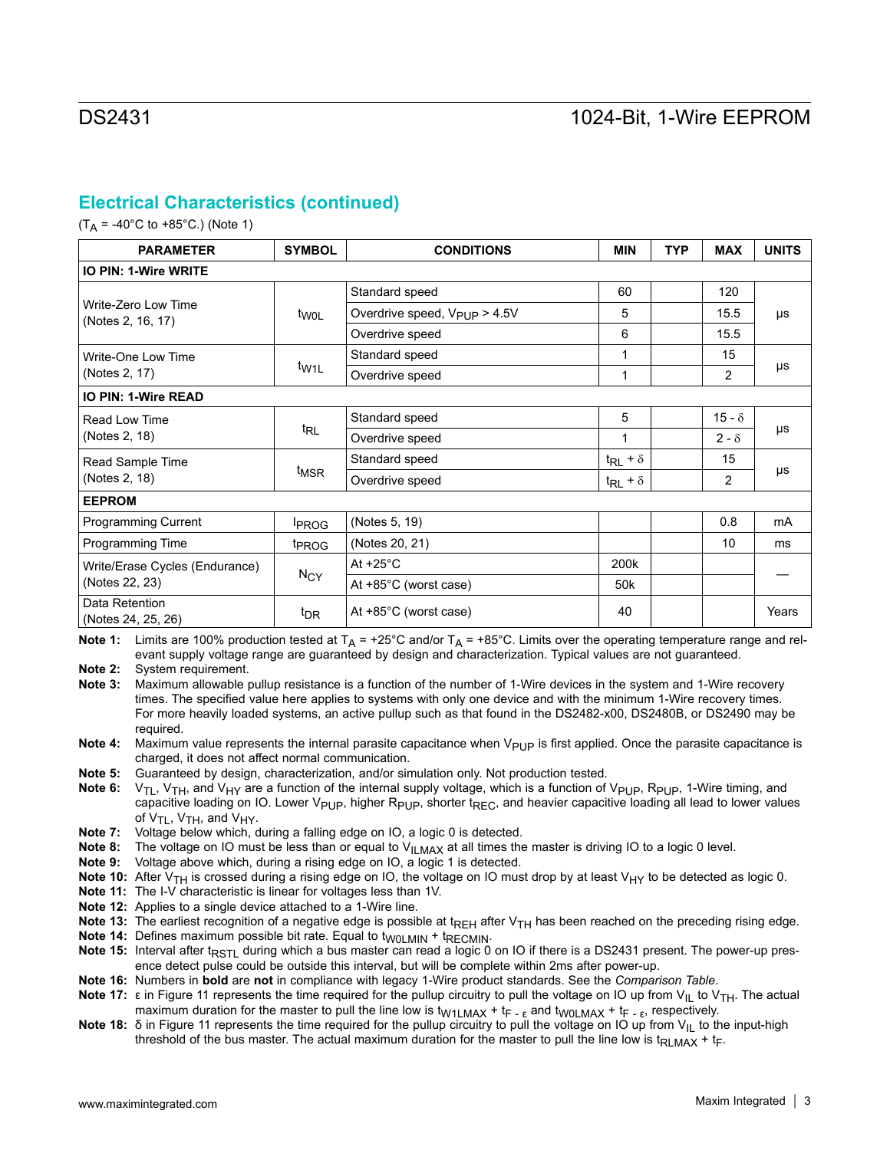## **Electrical Characteristics (continued)**

 $(T_A = -40^{\circ}$ C to  $+85^{\circ}$ C.) (Note 1)

| <b>PARAMETER</b>                         | <b>SYMBOL</b>     | <b>CONDITIONS</b>                        | <b>MIN</b>                   | <b>TYP</b> | <b>MAX</b>     | <b>UNITS</b> |
|------------------------------------------|-------------------|------------------------------------------|------------------------------|------------|----------------|--------------|
| <b>IO PIN: 1-Wire WRITE</b>              |                   |                                          |                              |            |                |              |
|                                          |                   | Standard speed                           | 60                           |            | 120            |              |
| Write-Zero Low Time<br>(Notes 2, 16, 17) | t <sub>WOL</sub>  | Overdrive speed, V <sub>PUP</sub> > 4.5V | 5                            |            | 15.5           | μs           |
|                                          |                   | Overdrive speed                          | 6                            |            | 15.5           |              |
| Write-One Low Time                       |                   | Standard speed                           | 1                            |            | 15             |              |
| (Notes 2, 17)                            | t <sub>W1L</sub>  | Overdrive speed                          | 1                            |            | $\overline{2}$ | μs           |
| <b>IO PIN: 1-Wire READ</b>               |                   |                                          |                              |            |                |              |
| Read Low Time                            |                   | Standard speed                           | 5                            |            | $15 - \delta$  |              |
| (Notes 2, 18)                            | $t_{RL}$          | Overdrive speed                          | 1                            |            | $2 - \delta$   | μs           |
| Read Sample Time                         |                   | Standard speed                           | $t_{\mathsf{RL}}$ + $\delta$ |            | 15             |              |
| (Notes 2, 18)                            | t <sub>MSR</sub>  | Overdrive speed                          | $t_{\mathsf{RL}}$ + $\delta$ |            | $\overline{2}$ | μs           |
| <b>EEPROM</b>                            |                   |                                          |                              |            |                |              |
| <b>Programming Current</b>               | <b>IPROG</b>      | (Notes 5, 19)                            |                              |            | 0.8            | mA           |
| Programming Time                         | <sup>t</sup> PROG | (Notes 20, 21)                           |                              |            | 10             | ms           |
| Write/Erase Cycles (Endurance)           |                   | At $+25^{\circ}$ C                       | 200k                         |            |                |              |
| (Notes 22, 23)                           | $N_{CY}$          | At $+85^{\circ}$ C (worst case)          | 50 <sub>k</sub>              |            |                |              |
| Data Retention<br>(Notes 24, 25, 26)     | t <sub>DR</sub>   | At $+85^{\circ}$ C (worst case)          | 40                           |            |                | Years        |

**Note 1:** Limits are 100% production tested at  $T_A$  = +25°C and/or  $T_A$  = +85°C. Limits over the operating temperature range and relevant supply voltage range are guaranteed by design and characterization. Typical values are not guaranteed.

**Note 2:** System requirement.

**Note 3:** Maximum allowable pullup resistance is a function of the number of 1-Wire devices in the system and 1-Wire recovery times. The specified value here applies to systems with only one device and with the minimum 1-Wire recovery times. For more heavily loaded systems, an active pullup such as that found in the DS2482-x00, DS2480B, or DS2490 may be required.

**Note 4:** Maximum value represents the internal parasite capacitance when V<sub>PUP</sub> is first applied. Once the parasite capacitance is charged, it does not affect normal communication.

**Note 5:** Guaranteed by design, characterization, and/or simulation only. Not production tested.

Note 6: V<sub>TL</sub>, V<sub>TH</sub>, and V<sub>HY</sub> are a function of the internal supply voltage, which is a function of V<sub>PUP</sub>, R<sub>PUP</sub>, 1-Wire timing, and capacitive loading on IO. Lower V<sub>PUP</sub>, higher R<sub>PUP</sub>, shorter t<sub>REC</sub>, and heavier capacitive loading all lead to lower values of  $V_{TL}$ ,  $V_{TH}$ , and  $V_{HY}$ .

**Note 7:** Voltage below which, during a falling edge on IO, a logic 0 is detected.

**Note 8:** The voltage on IO must be less than or equal to V<sub>ILMAX</sub> at all times the master is driving IO to a logic 0 level.

**Note 9:** Voltage above which, during a rising edge on IO, a logic 1 is detected.

**Note 10:** After V<sub>TH</sub> is crossed during a rising edge on IO, the voltage on IO must drop by at least V<sub>HY</sub> to be detected as logic 0.

**Note 11:** The I-V characteristic is linear for voltages less than 1V.

**Note 12:** Applies to a single device attached to a 1-Wire line.

Note 13: The earliest recognition of a negative edge is possible at t<sub>REH</sub> after V<sub>TH</sub> has been reached on the preceding rising edge.

**Note 14:** Defines maximum possible bit rate. Equal to t<sub>W0LMIN</sub> + t<sub>RECMIN</sub>.

Note 15: Interval after t<sub>RSTL</sub> during which a bus master can read a logic 0 on IO if there is a DS2431 present. The power-up presence detect pulse could be outside this interval, but will be complete within 2ms after power-up.

**Note 16:** Numbers in **bold** are **not** in compliance with legacy 1-Wire product standards. See the *Comparison Table*.

**Note 17:** ε in Figure 11 represents the time required for the pullup circuitry to pull the voltage on IO up from V<sub>IL</sub> to V<sub>TH</sub>. The actual maximum duration for the master to pull the line low is  $t_{W1LMAX}$  +  $t_F$  -  $\epsilon$  and  $t_{W0LMAX}$  +  $t_F$  -  $\epsilon$ , respectively.

**Note 18:** δ in Figure 11 represents the time required for the pullup circuitry to pull the voltage on IO up from V<sub>II</sub> to the input-high threshold of the bus master. The actual maximum duration for the master to pull the line low is  $t_{\text{RLMAX}} + t_{\text{F}}$ .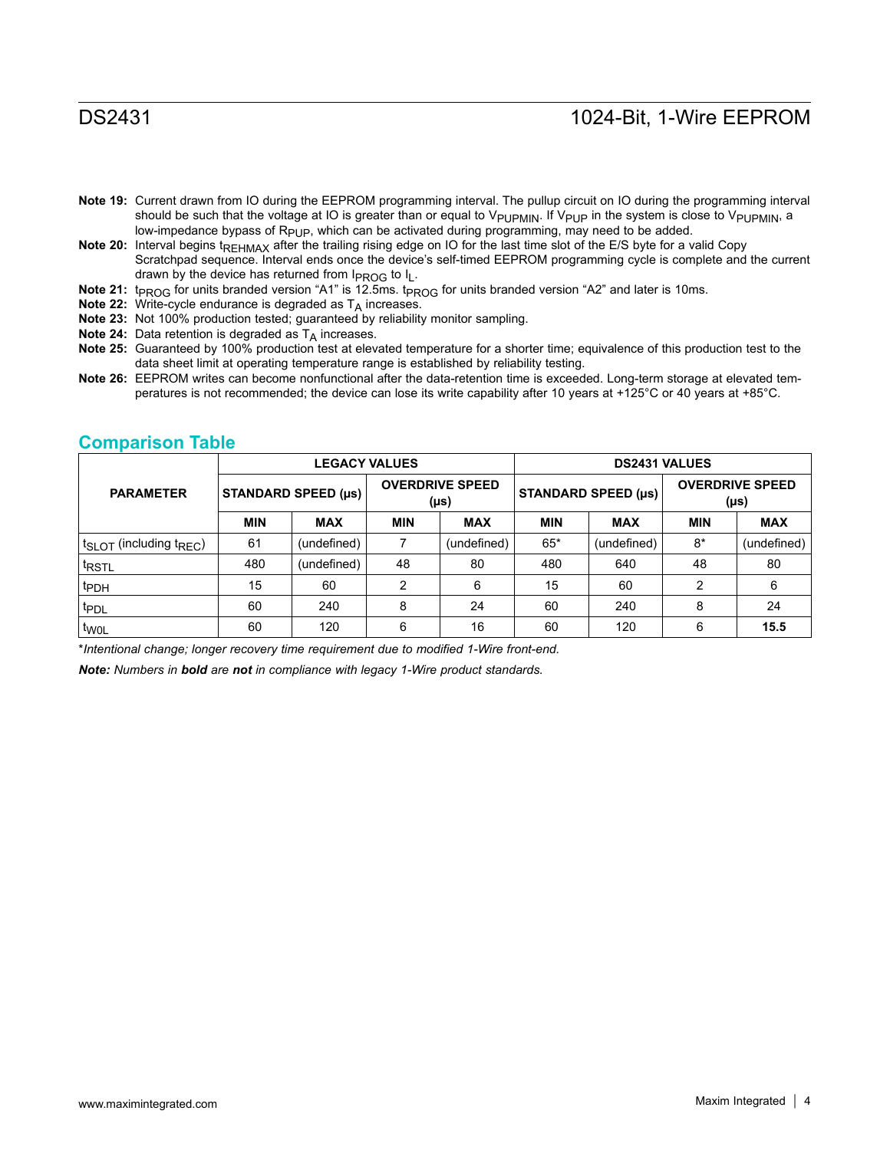- **Note 19:** Current drawn from IO during the EEPROM programming interval. The pullup circuit on IO during the programming interval should be such that the voltage at IO is greater than or equal to V<sub>PUPMIN</sub>. If V<sub>PUP</sub> in the system is close to V<sub>PUPMIN</sub>, a low-impedance bypass of Rp<sub>UP</sub>, which can be activated during programming, may need to be added.
- **Note 20:** Interval begins t<sub>REHMAX</sub> after the trailing rising edge on IO for the last time slot of the E/S byte for a valid Copy Scratchpad sequence. Interval ends once the device's self-timed EEPROM programming cycle is complete and the current drawn by the device has returned from  $I_{PROG}$  to  $I_L$ .
- Note 21: t<sub>PROG</sub> for units branded version "A1" is 12.5ms. t<sub>PROG</sub> for units branded version "A2" and later is 10ms.
- **Note 22:** Write-cycle endurance is degraded as T<sub>A</sub> increases.
- **Note 23:** Not 100% production tested; guaranteed by reliability monitor sampling.
- **Note 24:** Data retention is degraded as T<sub>A</sub> increases.
- **Note 25:** Guaranteed by 100% production test at elevated temperature for a shorter time; equivalence of this production test to the data sheet limit at operating temperature range is established by reliability testing.
- **Note 26:** EEPROM writes can become nonfunctional after the data-retention time is exceeded. Long-term storage at elevated temperatures is not recommended; the device can lose its write capability after 10 years at +125°C or 40 years at +85°C.

|                                   |            |                            | <b>LEGACY VALUES</b> |                                |            | <b>DS2431 VALUES</b>       |                |                                |
|-----------------------------------|------------|----------------------------|----------------------|--------------------------------|------------|----------------------------|----------------|--------------------------------|
| <b>PARAMETER</b>                  |            | <b>STANDARD SPEED (µs)</b> |                      | <b>OVERDRIVE SPEED</b><br>(µs) |            | <b>STANDARD SPEED (µs)</b> |                | <b>OVERDRIVE SPEED</b><br>(µs) |
|                                   | <b>MIN</b> | <b>MAX</b>                 | <b>MIN</b>           | <b>MAX</b>                     | <b>MIN</b> | <b>MAX</b>                 | <b>MIN</b>     | <b>MAX</b>                     |
| $t_{SLOT}$ (including $t_{REC}$ ) | 61         | (undefined)                | 7                    | (undefined)                    | $65*$      | (undefined)                | $8*$           | (undefined)                    |
| <sup>t</sup> RSTL                 | 480        | (undefined)                | 48                   | 80                             | 480        | 640                        | 48             | 80                             |
| t <sub>PDH</sub>                  | 15         | 60                         | 2                    | 6                              | 15         | 60                         | $\mathfrak{p}$ | 6                              |
| t <sub>PDL</sub>                  | 60         | 240                        | 8                    | 24                             | 60         | 240                        | 8              | 24                             |
| t <sub>WOL</sub>                  | 60         | 120                        | 6                    | 16                             | 60         | 120                        | 6              | 15.5                           |

### **Comparison Table**

\**Intentional change; longer recovery time requirement due to modified 1-Wire front-end.*

*Note: Numbers in bold are not in compliance with legacy 1-Wire product standards.*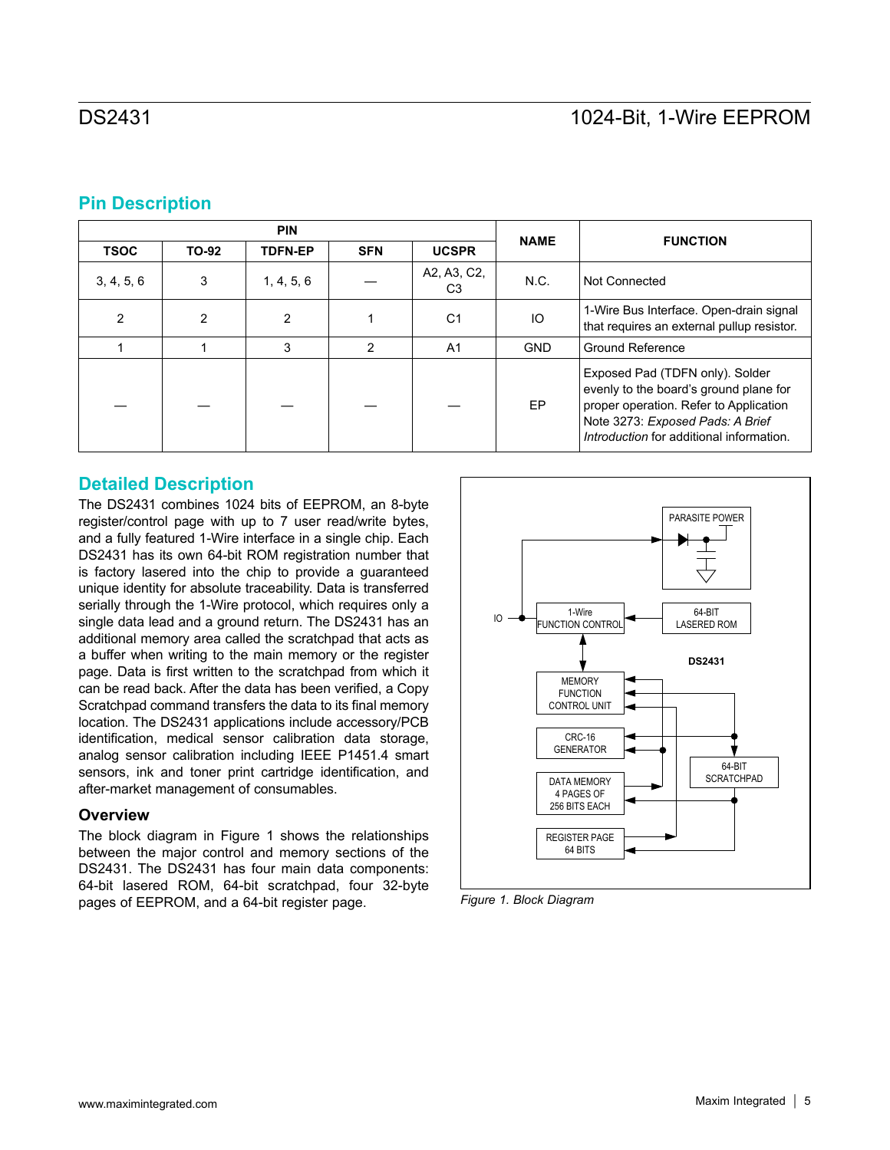## **Pin Description**

|             |       | <b>PIN</b>     |               |                               | <b>NAME</b> | <b>FUNCTION</b>                                                                                                                                                                                     |
|-------------|-------|----------------|---------------|-------------------------------|-------------|-----------------------------------------------------------------------------------------------------------------------------------------------------------------------------------------------------|
| <b>TSOC</b> | TO-92 | <b>TDFN-EP</b> | <b>SFN</b>    | <b>UCSPR</b>                  |             |                                                                                                                                                                                                     |
| 3, 4, 5, 6  | 3     | 1, 4, 5, 6     |               | A2, A3, C2,<br>C <sub>3</sub> | N.C.        | Not Connected                                                                                                                                                                                       |
| 2           | 2     | $\mathfrak{p}$ |               | C <sub>1</sub>                | IO          | 1-Wire Bus Interface. Open-drain signal<br>that requires an external pullup resistor.                                                                                                               |
|             |       | 3              | $\mathcal{P}$ | A <sub>1</sub>                | <b>GND</b>  | <b>Ground Reference</b>                                                                                                                                                                             |
|             |       |                |               |                               | EP          | Exposed Pad (TDFN only). Solder<br>evenly to the board's ground plane for<br>proper operation. Refer to Application<br>Note 3273: Exposed Pads: A Brief<br>Introduction for additional information. |

## **Detailed Description**

The DS2431 combines 1024 bits of EEPROM, an 8-byte register/control page with up to 7 user read/write bytes, and a fully featured 1-Wire interface in a single chip. Each DS2431 has its own 64-bit ROM registration number that is factory lasered into the chip to provide a guaranteed unique identity for absolute traceability. Data is transferred serially through the 1-Wire protocol, which requires only a single data lead and a ground return. The DS2431 has an additional memory area called the scratchpad that acts as a buffer when writing to the main memory or the register page. Data is first written to the scratchpad from which it can be read back. After the data has been verified, a Copy Scratchpad command transfers the data to its final memory location. The DS2431 applications include accessory/PCB identification, medical sensor calibration data storage, analog sensor calibration including IEEE P1451.4 smart sensors, ink and toner print cartridge identification, and after-market management of consumables.

### **Overview**

The block diagram in Figure 1 shows the relationships between the major control and memory sections of the DS2431. The DS2431 has four main data components: 64-bit lasered ROM, 64-bit scratchpad, four 32-byte pages of EEPROM, and a 64-bit register page. *Figure 1. Block Diagram*

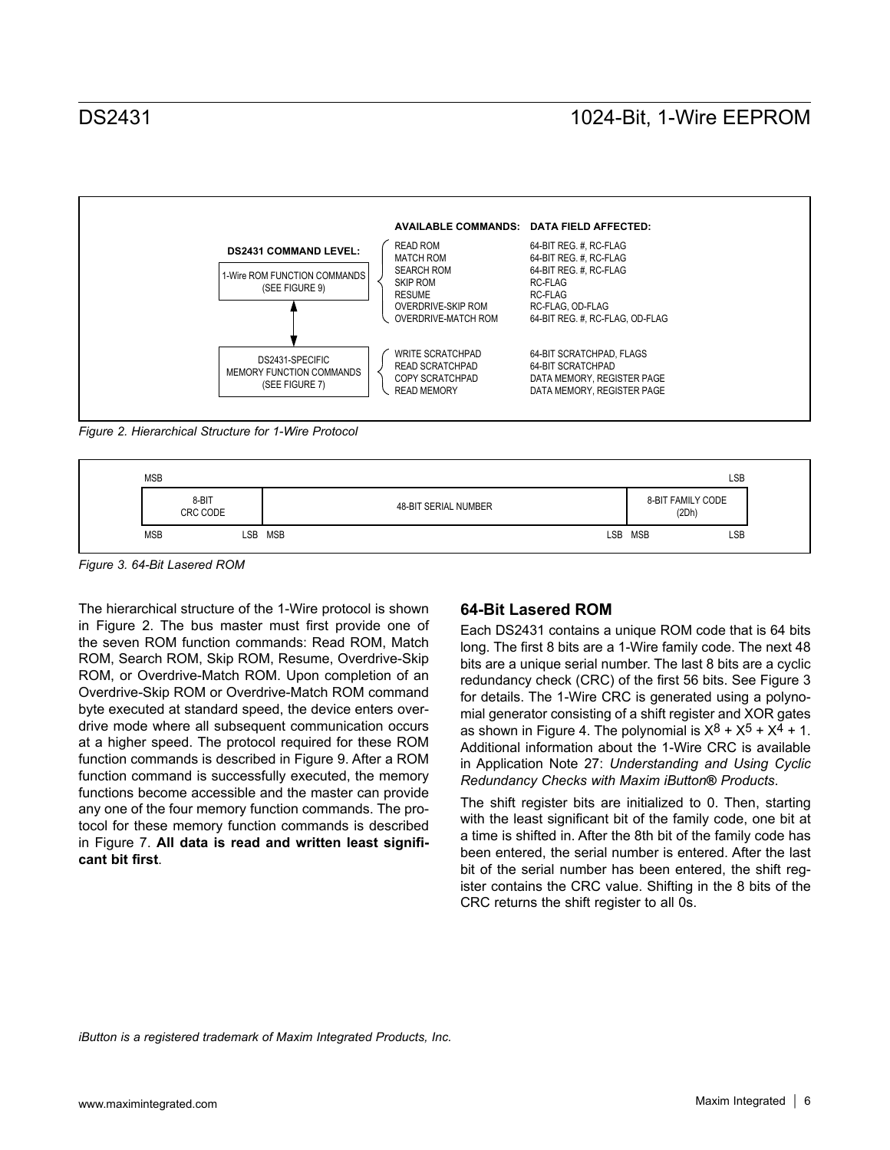

*Figure 2. Hierarchical Structure for 1-Wire Protocol*



*Figure 3. 64-Bit Lasered ROM*

The hierarchical structure of the 1-Wire protocol is shown in Figure 2. The bus master must first provide one of the seven ROM function commands: Read ROM, Match ROM, Search ROM, Skip ROM, Resume, Overdrive-Skip ROM, or Overdrive-Match ROM. Upon completion of an Overdrive-Skip ROM or Overdrive-Match ROM command byte executed at standard speed, the device enters overdrive mode where all subsequent communication occurs at a higher speed. The protocol required for these ROM function commands is described in Figure 9. After a ROM function command is successfully executed, the memory functions become accessible and the master can provide any one of the four memory function commands. The protocol for these memory function commands is described in Figure 7. **All data is read and written least significant bit first**.

### **64-Bit Lasered ROM**

Each DS2431 contains a unique ROM code that is 64 bits long. The first 8 bits are a 1-Wire family code. The next 48 bits are a unique serial number. The last 8 bits are a cyclic redundancy check (CRC) of the first 56 bits. See Figure 3 for details. The 1-Wire CRC is generated using a polynomial generator consisting of a shift register and XOR gates as shown in Figure 4. The polynomial is  $X^8 + X^5 + X^4 + 1$ . Additional information about the 1-Wire CRC is available in Application Note 27: *Understanding and Using Cyclic Redundancy Checks with Maxim iButton***®** *Products*.

The shift register bits are initialized to 0. Then, starting with the least significant bit of the family code, one bit at a time is shifted in. After the 8th bit of the family code has been entered, the serial number is entered. After the last bit of the serial number has been entered, the shift register contains the CRC value. Shifting in the 8 bits of the CRC returns the shift register to all 0s.

*iButton is a registered trademark of Maxim Integrated Products, Inc.*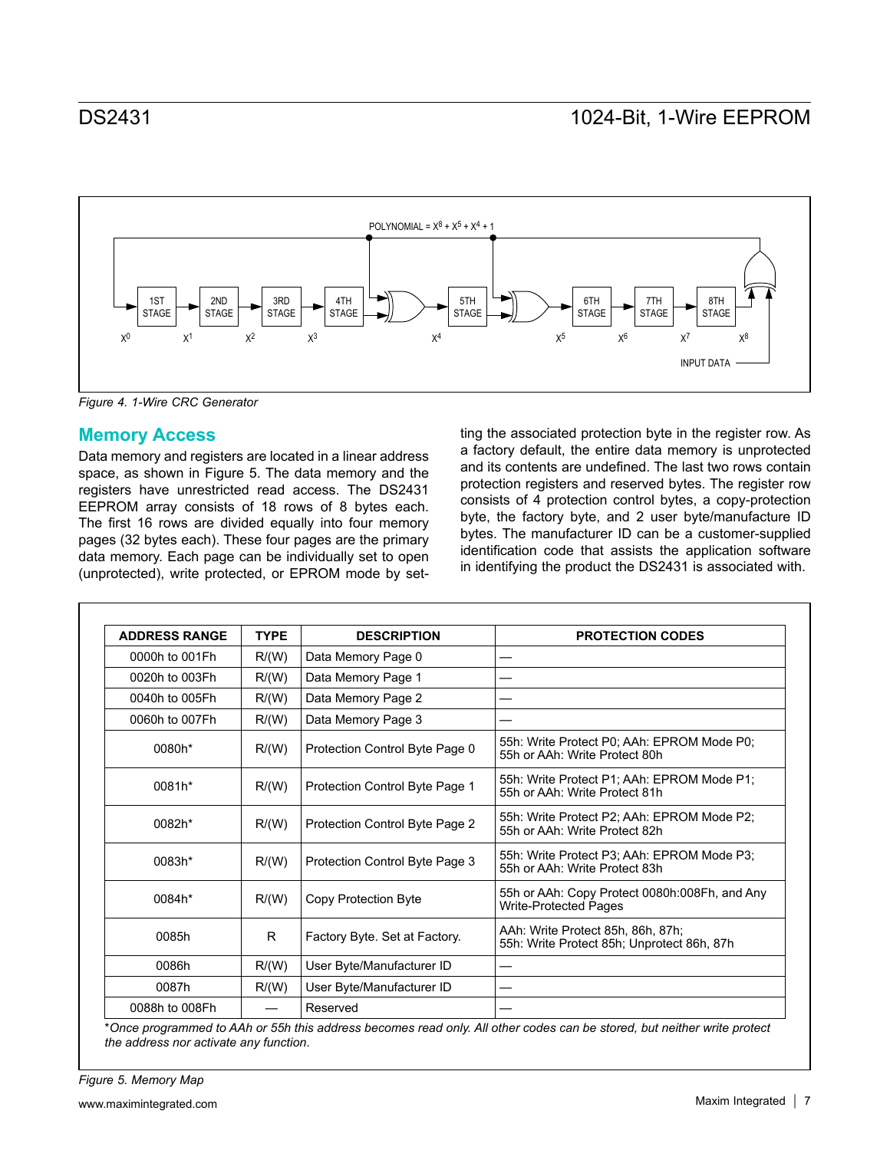

*Figure 4. 1-Wire CRC Generator*

## **Memory Access**

Data memory and registers are located in a linear address space, as shown in Figure 5. The data memory and the registers have unrestricted read access. The DS2431 EEPROM array consists of 18 rows of 8 bytes each. The first 16 rows are divided equally into four memory pages (32 bytes each). These four pages are the primary data memory. Each page can be individually set to open (unprotected), write protected, or EPROM mode by setting the associated protection byte in the register row. As a factory default, the entire data memory is unprotected and its contents are undefined. The last two rows contain protection registers and reserved bytes. The register row consists of 4 protection control bytes, a copy-protection byte, the factory byte, and 2 user byte/manufacture ID bytes. The manufacturer ID can be a customer-supplied identification code that assists the application software in identifying the product the DS2431 is associated with.

| <b>ADDRESS RANGE</b> | <b>TYPE</b> | <b>DESCRIPTION</b>             | <b>PROTECTION CODES</b>                                                         |
|----------------------|-------------|--------------------------------|---------------------------------------------------------------------------------|
| 0000h to 001Fh       | R/(W)       | Data Memory Page 0             |                                                                                 |
| 0020h to 003Fh       | R/(W)       | Data Memory Page 1             |                                                                                 |
| 0040h to 005Fh       | R/(W)       | Data Memory Page 2             |                                                                                 |
| 0060h to 007Fh       | R/(W)       | Data Memory Page 3             |                                                                                 |
| 0080h*               | R/(W)       | Protection Control Byte Page 0 | 55h: Write Protect P0; AAh: EPROM Mode P0;<br>55h or AAh: Write Protect 80h     |
| 0081h*               | R/(W)       | Protection Control Byte Page 1 | 55h: Write Protect P1; AAh: EPROM Mode P1;<br>55h or AAh: Write Protect 81h     |
| 0082h*               | R/(W)       | Protection Control Byte Page 2 | 55h: Write Protect P2; AAh: EPROM Mode P2;<br>55h or AAh: Write Protect 82h     |
| 0083h*               | R/(W)       | Protection Control Byte Page 3 | 55h: Write Protect P3, AAh: EPROM Mode P3,<br>55h or AAh: Write Protect 83h     |
| 0084h*               | R/(W)       | Copy Protection Byte           | 55h or AAh: Copy Protect 0080h:008Fh, and Any<br><b>Write-Protected Pages</b>   |
| 0085h                | R.          | Factory Byte. Set at Factory.  | AAh: Write Protect 85h, 86h, 87h;<br>55h: Write Protect 85h; Unprotect 86h, 87h |
| 0086h                | R/(W)       | User Byte/Manufacturer ID      |                                                                                 |
| 0087h                | R/(W)       | User Byte/Manufacturer ID      |                                                                                 |
| 0088h to 008Fh       |             | Reserved                       |                                                                                 |

\**Once programmed to AAh or 55h this address becomes read only. All other codes can be stored, but neither write protect the address nor activate any function*.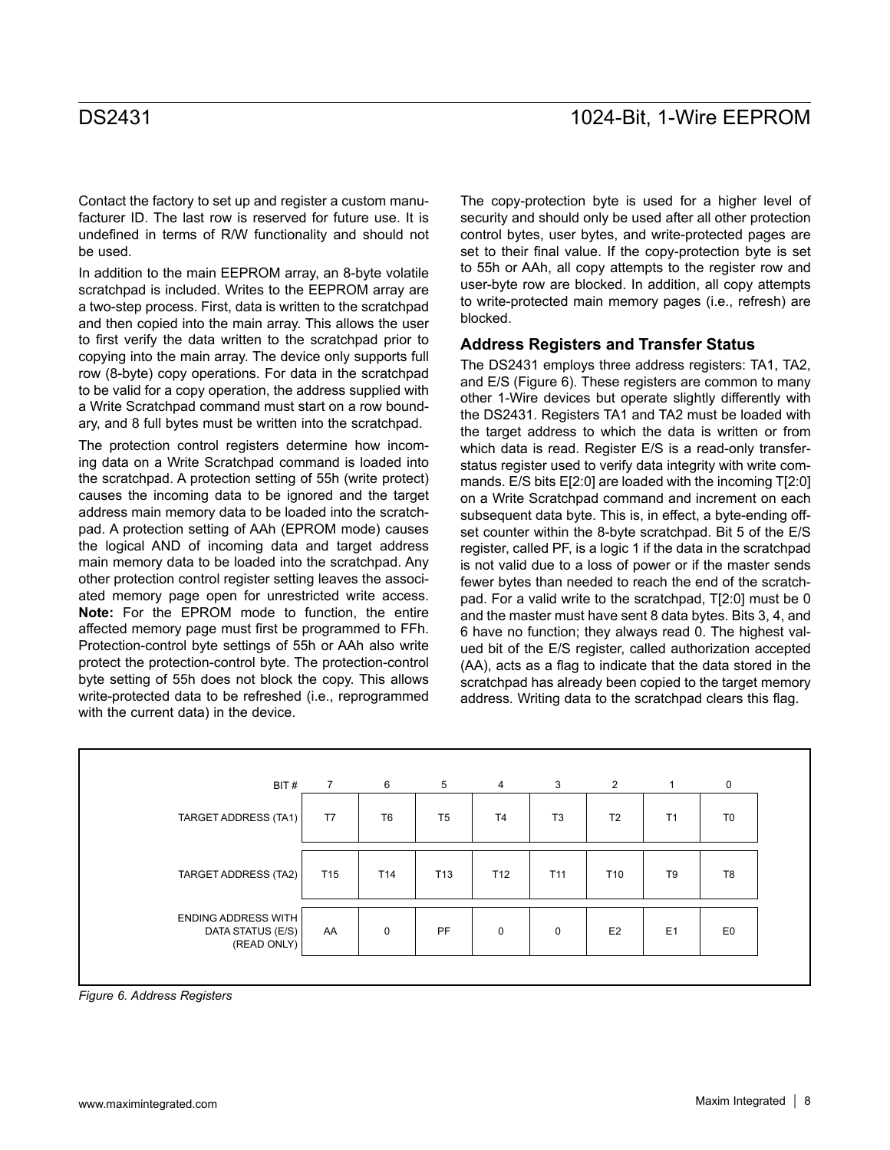Contact the factory to set up and register a custom manufacturer ID. The last row is reserved for future use. It is undefined in terms of R/W functionality and should not be used.

In addition to the main EEPROM array, an 8-byte volatile scratchpad is included. Writes to the EEPROM array are a two-step process. First, data is written to the scratchpad and then copied into the main array. This allows the user to first verify the data written to the scratchpad prior to copying into the main array. The device only supports full row (8-byte) copy operations. For data in the scratchpad to be valid for a copy operation, the address supplied with a Write Scratchpad command must start on a row boundary, and 8 full bytes must be written into the scratchpad.

The protection control registers determine how incoming data on a Write Scratchpad command is loaded into the scratchpad. A protection setting of 55h (write protect) causes the incoming data to be ignored and the target address main memory data to be loaded into the scratchpad. A protection setting of AAh (EPROM mode) causes the logical AND of incoming data and target address main memory data to be loaded into the scratchpad. Any other protection control register setting leaves the associated memory page open for unrestricted write access. **Note:** For the EPROM mode to function, the entire affected memory page must first be programmed to FFh. Protection-control byte settings of 55h or AAh also write protect the protection-control byte. The protection-control byte setting of 55h does not block the copy. This allows write-protected data to be refreshed (i.e., reprogrammed with the current data) in the device.

The copy-protection byte is used for a higher level of security and should only be used after all other protection control bytes, user bytes, and write-protected pages are set to their final value. If the copy-protection byte is set to 55h or AAh, all copy attempts to the register row and user-byte row are blocked. In addition, all copy attempts to write-protected main memory pages (i.e., refresh) are blocked.

### **Address Registers and Transfer Status**

The DS2431 employs three address registers: TA1, TA2, and E/S (Figure 6). These registers are common to many other 1-Wire devices but operate slightly differently with the DS2431. Registers TA1 and TA2 must be loaded with the target address to which the data is written or from which data is read. Register E/S is a read-only transferstatus register used to verify data integrity with write commands. E/S bits E[2:0] are loaded with the incoming T[2:0] on a Write Scratchpad command and increment on each subsequent data byte. This is, in effect, a byte-ending offset counter within the 8-byte scratchpad. Bit 5 of the E/S register, called PF, is a logic 1 if the data in the scratchpad is not valid due to a loss of power or if the master sends fewer bytes than needed to reach the end of the scratchpad. For a valid write to the scratchpad, T[2:0] must be 0 and the master must have sent 8 data bytes. Bits 3, 4, and 6 have no function; they always read 0. The highest valued bit of the E/S register, called authorization accepted (AA), acts as a flag to indicate that the data stored in the scratchpad has already been copied to the target memory address. Writing data to the scratchpad clears this flag.

| BIT#                                                           | $\overline{7}$  | 6               | 5               | $\overline{4}$  | 3               | 2               | $\mathbf{1}$   | $\mathbf 0$    |
|----------------------------------------------------------------|-----------------|-----------------|-----------------|-----------------|-----------------|-----------------|----------------|----------------|
| TARGET ADDRESS (TA1)                                           | T7              | T <sub>6</sub>  | T <sub>5</sub>  | T <sub>4</sub>  | T <sub>3</sub>  | T <sub>2</sub>  | T <sub>1</sub> | T <sub>0</sub> |
| TARGET ADDRESS (TA2)                                           | T <sub>15</sub> | T <sub>14</sub> | T <sub>13</sub> | T <sub>12</sub> | T <sub>11</sub> | T <sub>10</sub> | T <sub>9</sub> | T <sub>8</sub> |
| <b>ENDING ADDRESS WITH</b><br>DATA STATUS (E/S)<br>(READ ONLY) | AA              | $\mathbf 0$     | PF              | $\mathbf 0$     | $\Omega$        | E <sub>2</sub>  | E1             | E <sub>0</sub> |

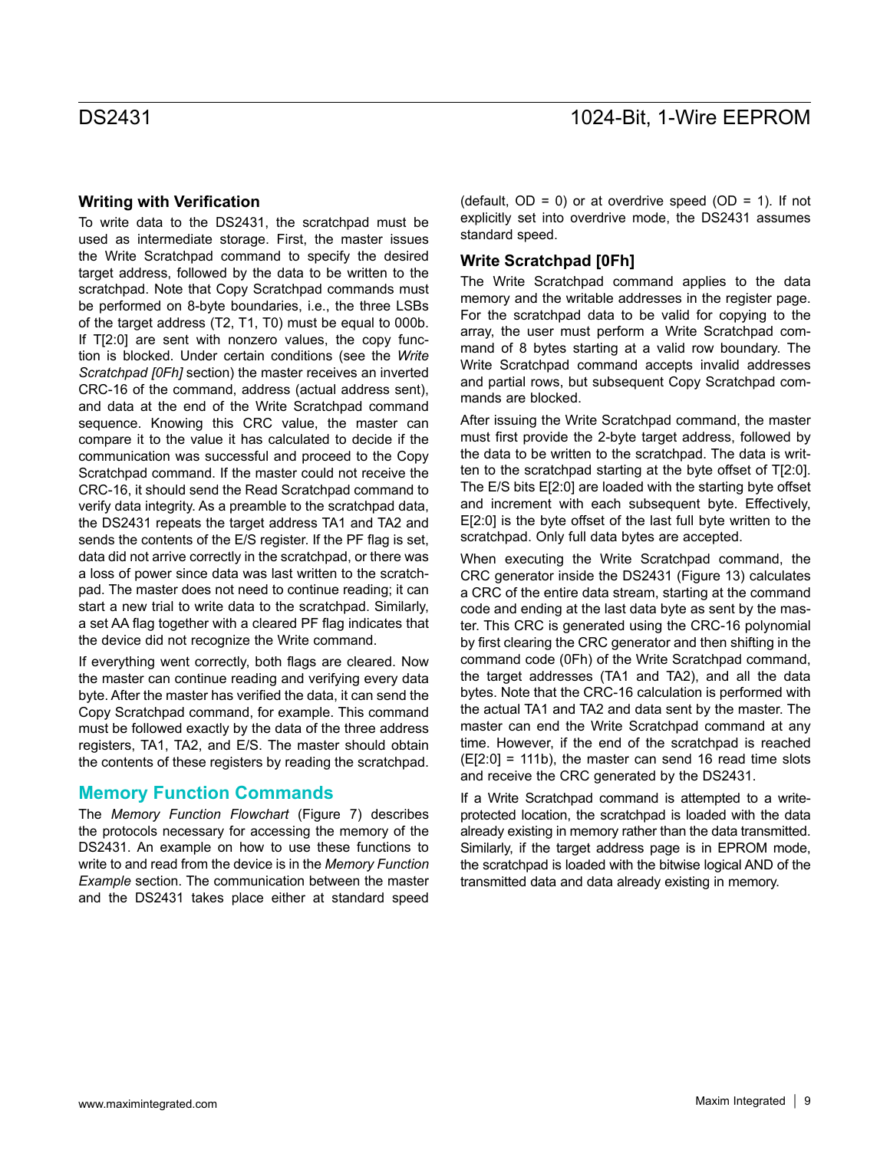### **Writing with Verification**

To write data to the DS2431, the scratchpad must be used as intermediate storage. First, the master issues the Write Scratchpad command to specify the desired target address, followed by the data to be written to the scratchpad. Note that Copy Scratchpad commands must be performed on 8-byte boundaries, i.e., the three LSBs of the target address (T2, T1, T0) must be equal to 000b. If T[2:0] are sent with nonzero values, the copy function is blocked. Under certain conditions (see the *Write Scratchpad [0Fh]* section) the master receives an inverted CRC-16 of the command, address (actual address sent), and data at the end of the Write Scratchpad command sequence. Knowing this CRC value, the master can compare it to the value it has calculated to decide if the communication was successful and proceed to the Copy Scratchpad command. If the master could not receive the CRC-16, it should send the Read Scratchpad command to verify data integrity. As a preamble to the scratchpad data, the DS2431 repeats the target address TA1 and TA2 and sends the contents of the E/S register. If the PF flag is set, data did not arrive correctly in the scratchpad, or there was a loss of power since data was last written to the scratchpad. The master does not need to continue reading; it can start a new trial to write data to the scratchpad. Similarly, a set AA flag together with a cleared PF flag indicates that the device did not recognize the Write command.

If everything went correctly, both flags are cleared. Now the master can continue reading and verifying every data byte. After the master has verified the data, it can send the Copy Scratchpad command, for example. This command must be followed exactly by the data of the three address registers, TA1, TA2, and E/S. The master should obtain the contents of these registers by reading the scratchpad.

### **Memory Function Commands**

The *Memory Function Flowchart* (Figure 7) describes the protocols necessary for accessing the memory of the DS2431. An example on how to use these functions to write to and read from the device is in the *Memory Function Example* section. The communication between the master and the DS2431 takes place either at standard speed

(default,  $OD = 0$ ) or at overdrive speed ( $OD = 1$ ). If not explicitly set into overdrive mode, the DS2431 assumes standard speed.

### **Write Scratchpad [0Fh]**

The Write Scratchpad command applies to the data memory and the writable addresses in the register page. For the scratchpad data to be valid for copying to the array, the user must perform a Write Scratchpad command of 8 bytes starting at a valid row boundary. The Write Scratchpad command accepts invalid addresses and partial rows, but subsequent Copy Scratchpad commands are blocked.

After issuing the Write Scratchpad command, the master must first provide the 2-byte target address, followed by the data to be written to the scratchpad. The data is written to the scratchpad starting at the byte offset of T[2:0]. The E/S bits E[2:0] are loaded with the starting byte offset and increment with each subsequent byte. Effectively, E[2:0] is the byte offset of the last full byte written to the scratchpad. Only full data bytes are accepted.

When executing the Write Scratchpad command, the CRC generator inside the DS2431 (Figure 13) calculates a CRC of the entire data stream, starting at the command code and ending at the last data byte as sent by the master. This CRC is generated using the CRC-16 polynomial by first clearing the CRC generator and then shifting in the command code (0Fh) of the Write Scratchpad command, the target addresses (TA1 and TA2), and all the data bytes. Note that the CRC-16 calculation is performed with the actual TA1 and TA2 and data sent by the master. The master can end the Write Scratchpad command at any time. However, if the end of the scratchpad is reached  $(E[2:0] = 111b)$ , the master can send 16 read time slots and receive the CRC generated by the DS2431.

If a Write Scratchpad command is attempted to a writeprotected location, the scratchpad is loaded with the data already existing in memory rather than the data transmitted. Similarly, if the target address page is in EPROM mode, the scratchpad is loaded with the bitwise logical AND of the transmitted data and data already existing in memory.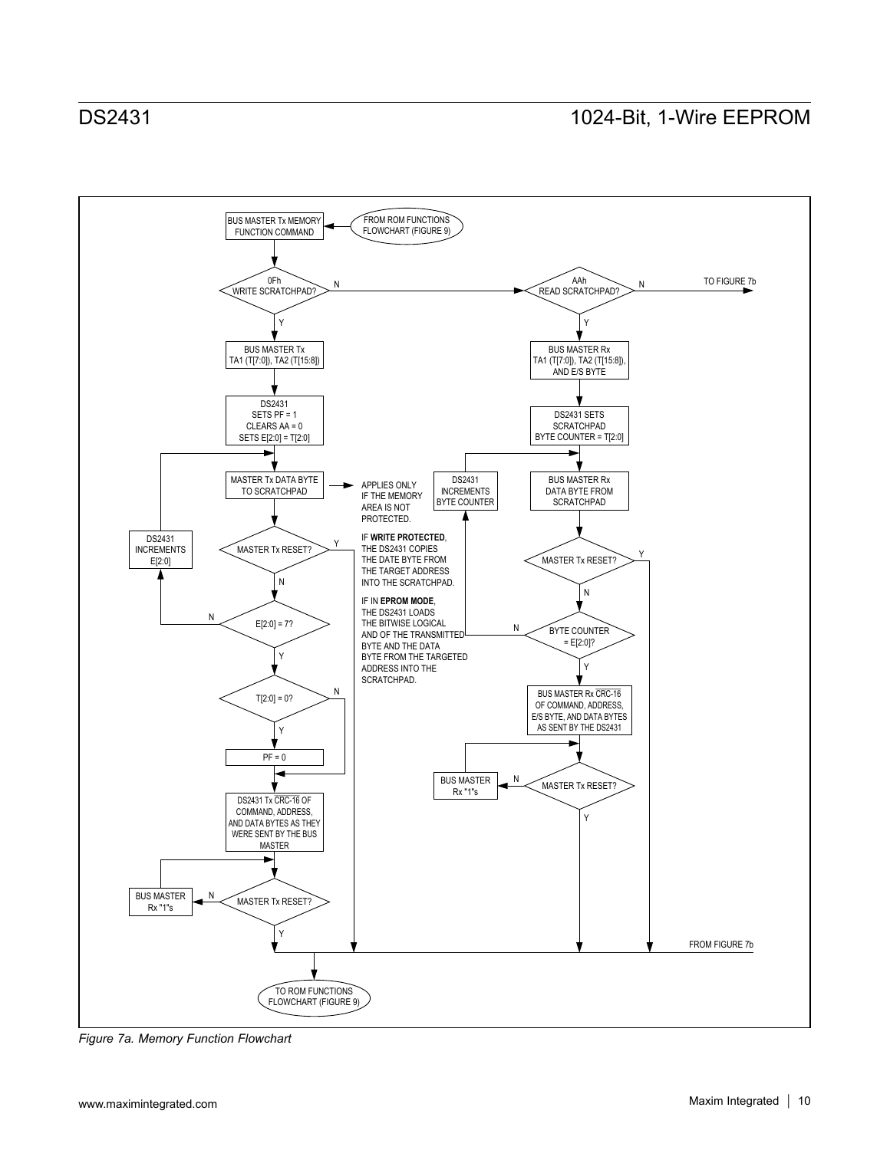

*Figure 7a. Memory Function Flowchart*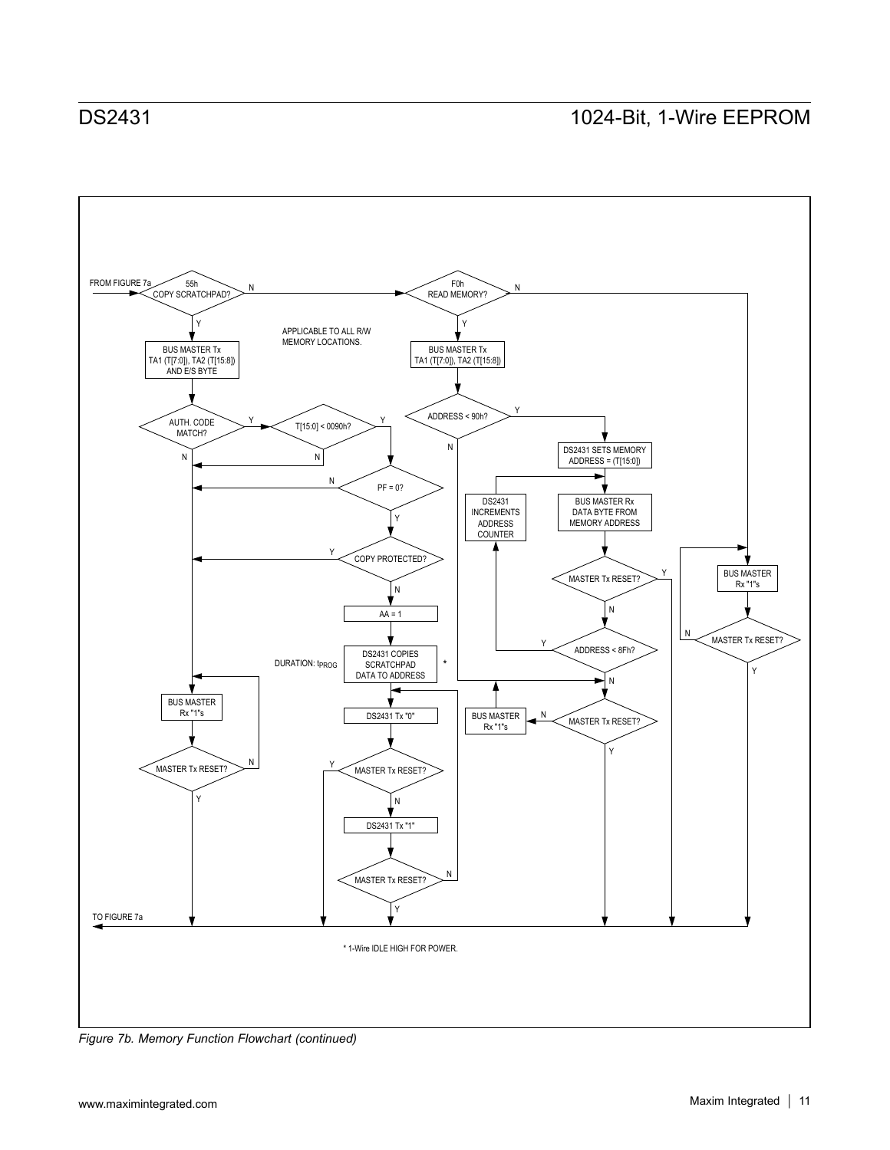

*Figure 7b. Memory Function Flowchart (continued)*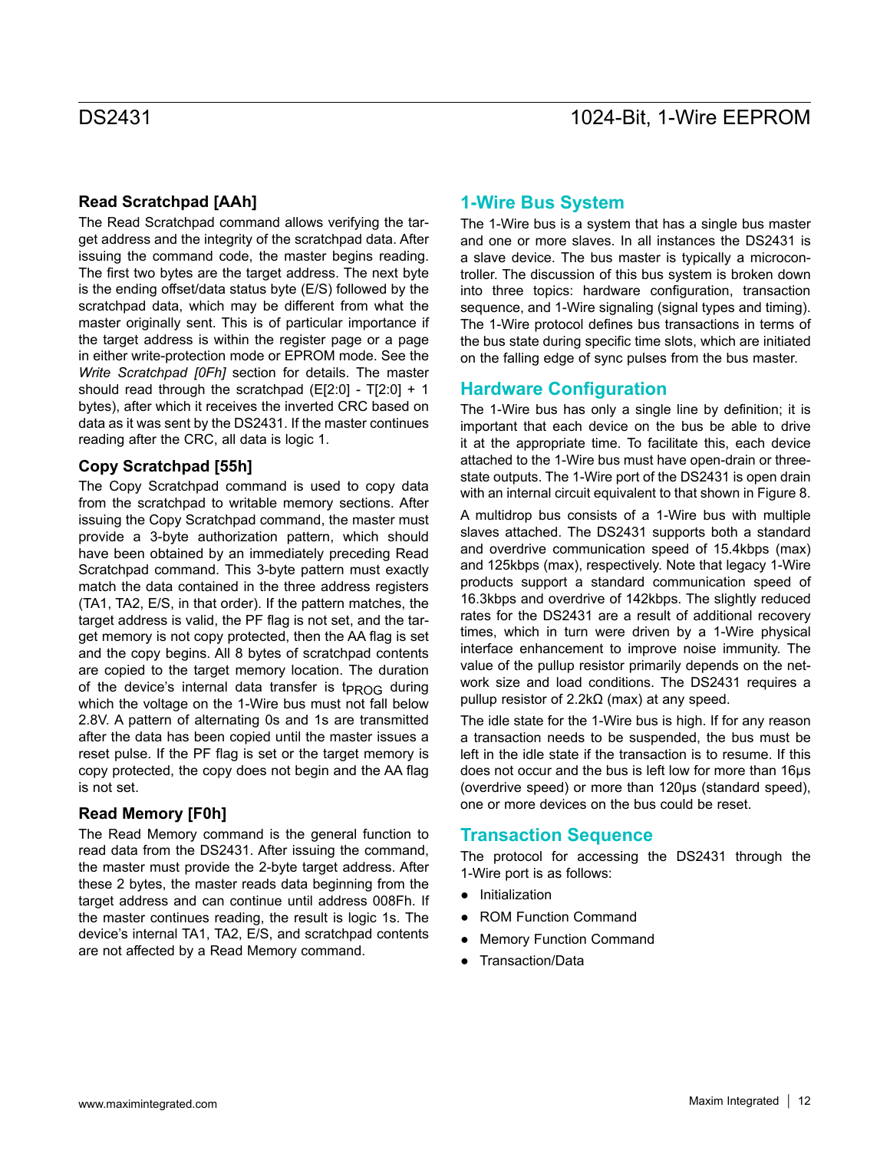### **Read Scratchpad [AAh]**

The Read Scratchpad command allows verifying the target address and the integrity of the scratchpad data. After issuing the command code, the master begins reading. The first two bytes are the target address. The next byte is the ending offset/data status byte (E/S) followed by the scratchpad data, which may be different from what the master originally sent. This is of particular importance if the target address is within the register page or a page in either write-protection mode or EPROM mode. See the *Write Scratchpad [0Fh]* section for details. The master should read through the scratchpad  $(E[2:0] - T[2:0] + 1)$ bytes), after which it receives the inverted CRC based on data as it was sent by the DS2431. If the master continues reading after the CRC, all data is logic 1.

### **Copy Scratchpad [55h]**

The Copy Scratchpad command is used to copy data from the scratchpad to writable memory sections. After issuing the Copy Scratchpad command, the master must provide a 3-byte authorization pattern, which should have been obtained by an immediately preceding Read Scratchpad command. This 3-byte pattern must exactly match the data contained in the three address registers (TA1, TA2, E/S, in that order). If the pattern matches, the target address is valid, the PF flag is not set, and the target memory is not copy protected, then the AA flag is set and the copy begins. All 8 bytes of scratchpad contents are copied to the target memory location. The duration of the device's internal data transfer is t<sub>PROG</sub> during which the voltage on the 1-Wire bus must not fall below 2.8V. A pattern of alternating 0s and 1s are transmitted after the data has been copied until the master issues a reset pulse. If the PF flag is set or the target memory is copy protected, the copy does not begin and the AA flag is not set.

### **Read Memory [F0h]**

The Read Memory command is the general function to read data from the DS2431. After issuing the command, the master must provide the 2-byte target address. After these 2 bytes, the master reads data beginning from the target address and can continue until address 008Fh. If the master continues reading, the result is logic 1s. The device's internal TA1, TA2, E/S, and scratchpad contents are not affected by a Read Memory command.

## **1-Wire Bus System**

The 1-Wire bus is a system that has a single bus master and one or more slaves. In all instances the DS2431 is a slave device. The bus master is typically a microcontroller. The discussion of this bus system is broken down into three topics: hardware configuration, transaction sequence, and 1-Wire signaling (signal types and timing). The 1-Wire protocol defines bus transactions in terms of the bus state during specific time slots, which are initiated on the falling edge of sync pulses from the bus master.

## **Hardware Configuration**

The 1-Wire bus has only a single line by definition; it is important that each device on the bus be able to drive it at the appropriate time. To facilitate this, each device attached to the 1-Wire bus must have open-drain or threestate outputs. The 1-Wire port of the DS2431 is open drain with an internal circuit equivalent to that shown in Figure 8.

A multidrop bus consists of a 1-Wire bus with multiple slaves attached. The DS2431 supports both a standard and overdrive communication speed of 15.4kbps (max) and 125kbps (max), respectively. Note that legacy 1-Wire products support a standard communication speed of 16.3kbps and overdrive of 142kbps. The slightly reduced rates for the DS2431 are a result of additional recovery times, which in turn were driven by a 1-Wire physical interface enhancement to improve noise immunity. The value of the pullup resistor primarily depends on the network size and load conditions. The DS2431 requires a pullup resistor of 2.2kΩ (max) at any speed.

The idle state for the 1-Wire bus is high. If for any reason a transaction needs to be suspended, the bus must be left in the idle state if the transaction is to resume. If this does not occur and the bus is left low for more than 16μs (overdrive speed) or more than 120μs (standard speed), one or more devices on the bus could be reset.

### **Transaction Sequence**

The protocol for accessing the DS2431 through the 1-Wire port is as follows:

- Initialization
- ROM Function Command
- **Memory Function Command**
- Transaction/Data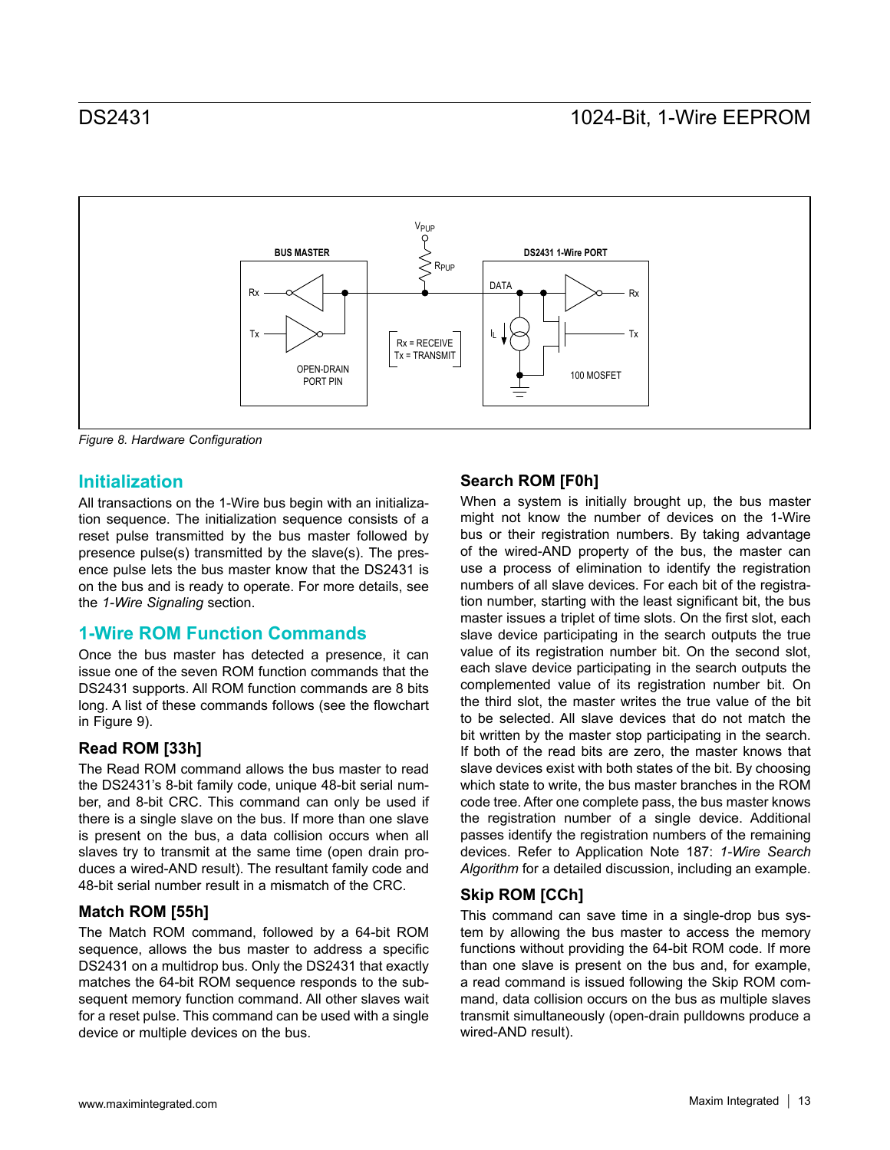

*Figure 8. Hardware Configuration*

## **Initialization**

All transactions on the 1-Wire bus begin with an initialization sequence. The initialization sequence consists of a reset pulse transmitted by the bus master followed by presence pulse(s) transmitted by the slave(s). The presence pulse lets the bus master know that the DS2431 is on the bus and is ready to operate. For more details, see the *1-Wire Signaling* section.

## **1-Wire ROM Function Commands**

Once the bus master has detected a presence, it can issue one of the seven ROM function commands that the DS2431 supports. All ROM function commands are 8 bits long. A list of these commands follows (see the flowchart in Figure 9).

## **Read ROM [33h]**

The Read ROM command allows the bus master to read the DS2431's 8-bit family code, unique 48-bit serial number, and 8-bit CRC. This command can only be used if there is a single slave on the bus. If more than one slave is present on the bus, a data collision occurs when all slaves try to transmit at the same time (open drain produces a wired-AND result). The resultant family code and 48-bit serial number result in a mismatch of the CRC.

### **Match ROM [55h]**

The Match ROM command, followed by a 64-bit ROM sequence, allows the bus master to address a specific DS2431 on a multidrop bus. Only the DS2431 that exactly matches the 64-bit ROM sequence responds to the subsequent memory function command. All other slaves wait for a reset pulse. This command can be used with a single device or multiple devices on the bus.

### **Search ROM [F0h]**

When a system is initially brought up, the bus master might not know the number of devices on the 1-Wire bus or their registration numbers. By taking advantage of the wired-AND property of the bus, the master can use a process of elimination to identify the registration numbers of all slave devices. For each bit of the registration number, starting with the least significant bit, the bus master issues a triplet of time slots. On the first slot, each slave device participating in the search outputs the true value of its registration number bit. On the second slot, each slave device participating in the search outputs the complemented value of its registration number bit. On the third slot, the master writes the true value of the bit to be selected. All slave devices that do not match the bit written by the master stop participating in the search. If both of the read bits are zero, the master knows that slave devices exist with both states of the bit. By choosing which state to write, the bus master branches in the ROM code tree. After one complete pass, the bus master knows the registration number of a single device. Additional passes identify the registration numbers of the remaining devices. Refer to Application Note 187: *1-Wire Search Algorithm* for a detailed discussion, including an example.

## **Skip ROM [CCh]**

This command can save time in a single-drop bus system by allowing the bus master to access the memory functions without providing the 64-bit ROM code. If more than one slave is present on the bus and, for example, a read command is issued following the Skip ROM command, data collision occurs on the bus as multiple slaves transmit simultaneously (open-drain pulldowns produce a wired-AND result).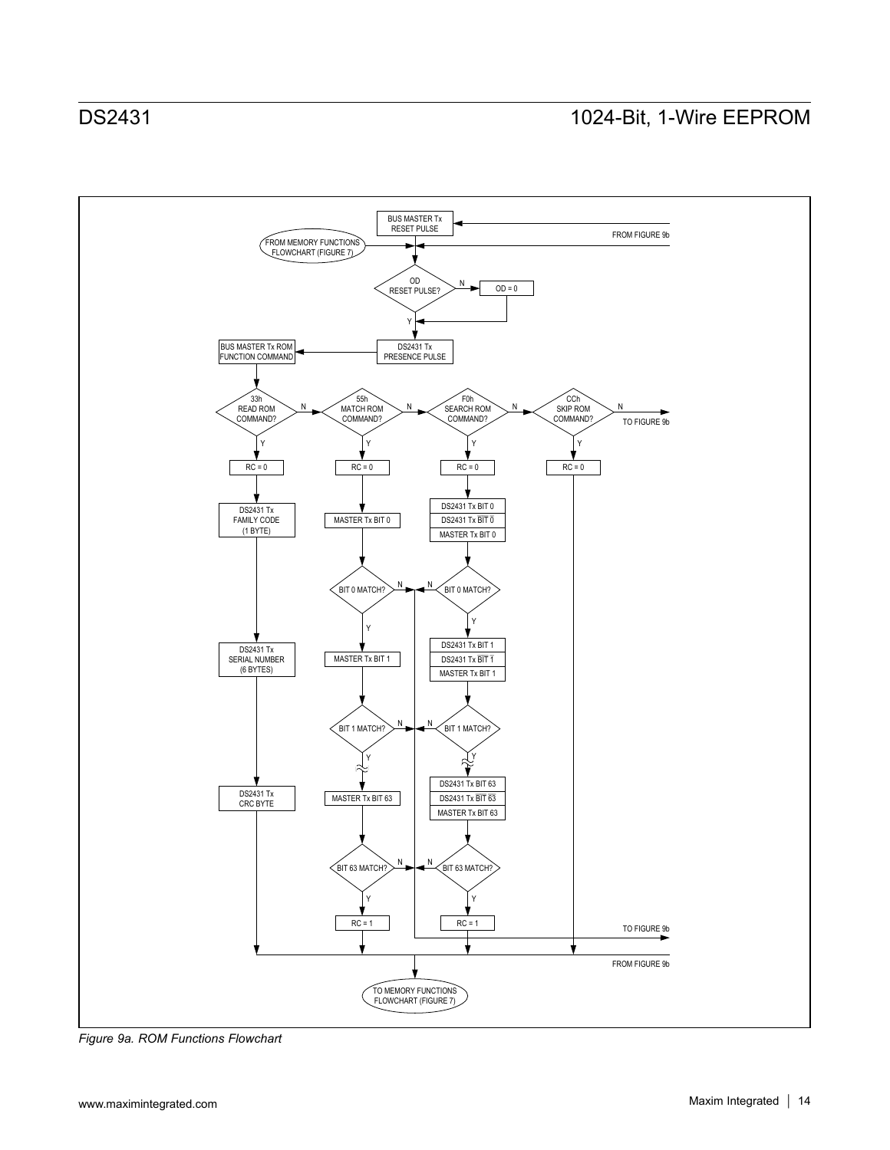

*Figure 9a. ROM Functions Flowchart*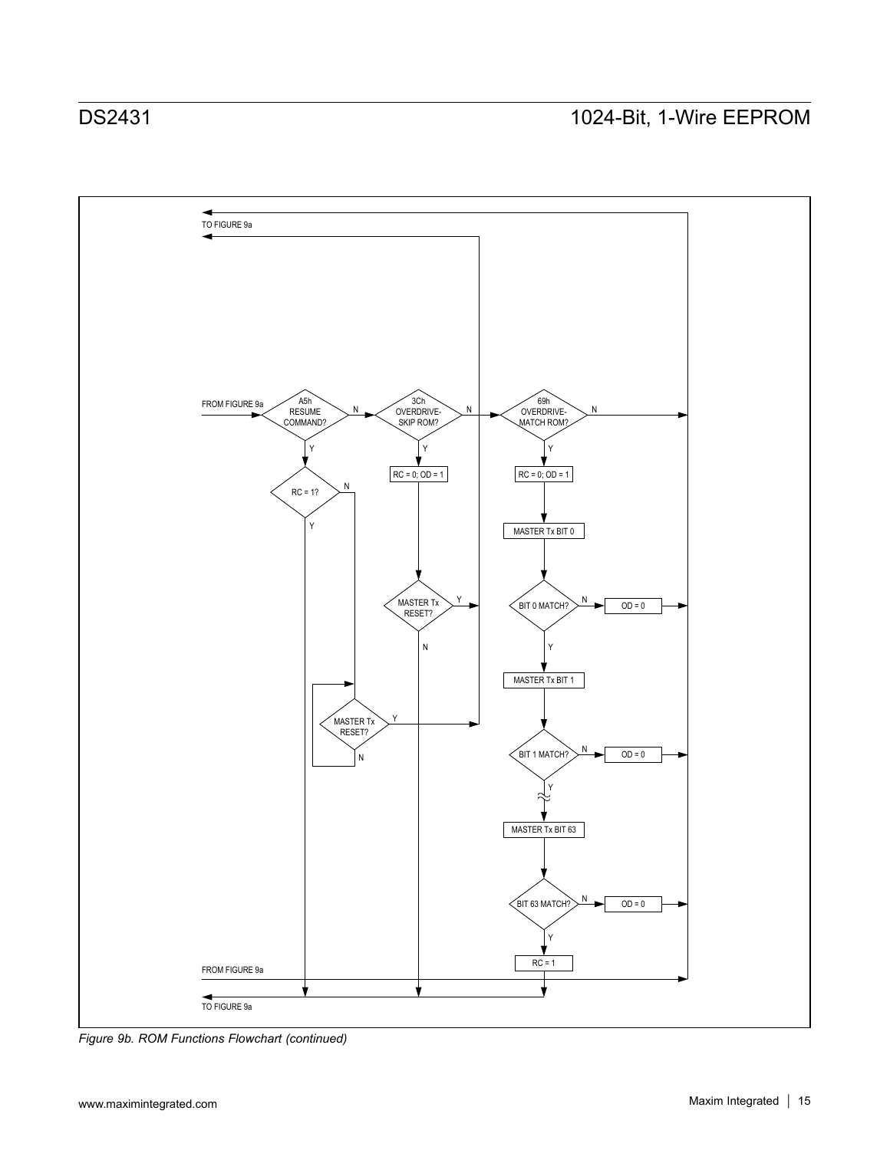

*Figure 9b. ROM Functions Flowchart (continued)*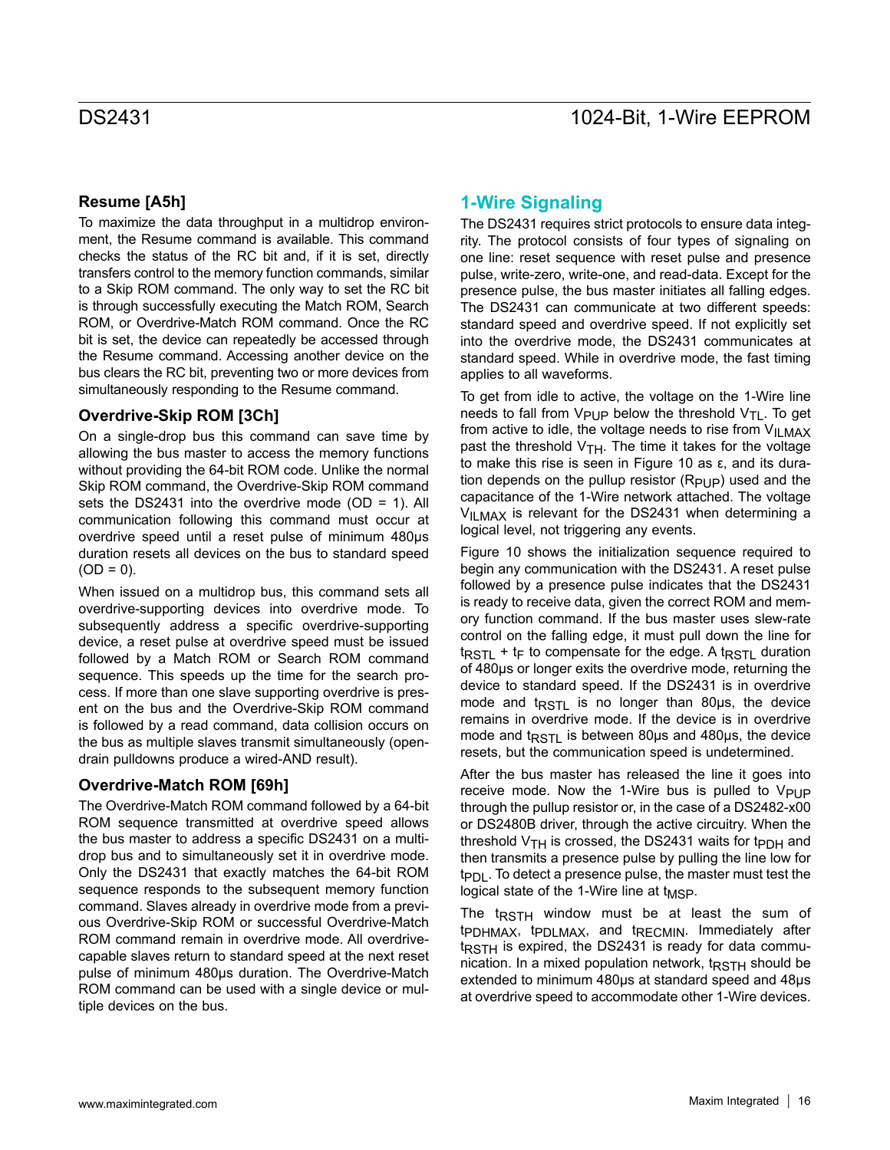## **Resume [A5h]**

To maximize the data throughput in a multidrop environment, the Resume command is available. This command checks the status of the RC bit and, if it is set, directly transfers control to the memory function commands, similar to a Skip ROM command. The only way to set the RC bit is through successfully executing the Match ROM, Search ROM, or Overdrive-Match ROM command. Once the RC bit is set, the device can repeatedly be accessed through the Resume command. Accessing another device on the bus clears the RC bit, preventing two or more devices from simultaneously responding to the Resume command.

### **Overdrive-Skip ROM [3Ch]**

On a single-drop bus this command can save time by allowing the bus master to access the memory functions without providing the 64-bit ROM code. Unlike the normal Skip ROM command, the Overdrive-Skip ROM command sets the DS2431 into the overdrive mode (OD = 1). All communication following this command must occur at overdrive speed until a reset pulse of minimum 480μs duration resets all devices on the bus to standard speed  $(OD = 0)$ .

When issued on a multidrop bus, this command sets all overdrive-supporting devices into overdrive mode. To subsequently address a specific overdrive-supporting device, a reset pulse at overdrive speed must be issued followed by a Match ROM or Search ROM command sequence. This speeds up the time for the search process. If more than one slave supporting overdrive is present on the bus and the Overdrive-Skip ROM command is followed by a read command, data collision occurs on the bus as multiple slaves transmit simultaneously (opendrain pulldowns produce a wired-AND result).

### **Overdrive-Match ROM [69h]**

The Overdrive-Match ROM command followed by a 64-bit ROM sequence transmitted at overdrive speed allows the bus master to address a specific DS2431 on a multidrop bus and to simultaneously set it in overdrive mode. Only the DS2431 that exactly matches the 64-bit ROM sequence responds to the subsequent memory function command. Slaves already in overdrive mode from a previous Overdrive-Skip ROM or successful Overdrive-Match ROM command remain in overdrive mode. All overdrivecapable slaves return to standard speed at the next reset pulse of minimum 480μs duration. The Overdrive-Match ROM command can be used with a single device or multiple devices on the bus.

## **1-Wire Signaling**

The DS2431 requires strict protocols to ensure data integrity. The protocol consists of four types of signaling on one line: reset sequence with reset pulse and presence pulse, write-zero, write-one, and read-data. Except for the presence pulse, the bus master initiates all falling edges. The DS2431 can communicate at two different speeds: standard speed and overdrive speed. If not explicitly set into the overdrive mode, the DS2431 communicates at standard speed. While in overdrive mode, the fast timing applies to all waveforms.

To get from idle to active, the voltage on the 1-Wire line needs to fall from  $V_{\text{PI}}P$  below the threshold  $V_{\text{TI}}$ . To get from active to idle, the voltage needs to rise from  $V_{ILMAX}$ past the threshold  $V<sub>TH</sub>$ . The time it takes for the voltage to make this rise is seen in Figure 10 as ε, and its duration depends on the pullup resistor  $(R_{\text{PIIP}})$  used and the capacitance of the 1-Wire network attached. The voltage  $V_{II,MAX}$  is relevant for the DS2431 when determining a logical level, not triggering any events.

Figure 10 shows the initialization sequence required to begin any communication with the DS2431. A reset pulse followed by a presence pulse indicates that the DS2431 is ready to receive data, given the correct ROM and memory function command. If the bus master uses slew-rate control on the falling edge, it must pull down the line for  $t_{\text{RSTL}}$  +  $t_{\text{F}}$  to compensate for the edge. A t<sub>RSTL</sub> duration of 480μs or longer exits the overdrive mode, returning the device to standard speed. If the DS2431 is in overdrive mode and  $t_{\text{RSTL}}$  is no longer than 80 $\mu$ s, the device remains in overdrive mode. If the device is in overdrive mode and  $t_{RSTL}$  is between 80 $\mu$ s and 480 $\mu$ s, the device resets, but the communication speed is undetermined.

After the bus master has released the line it goes into receive mode. Now the 1-Wire bus is pulled to  $V_{\text{PUP}}$ through the pullup resistor or, in the case of a DS2482-x00 or DS2480B driver, through the active circuitry. When the threshold  $V_{TH}$  is crossed, the DS2431 waits for t<sub>PDH</sub> and then transmits a presence pulse by pulling the line low for  $tp<sub>Dl</sub>$ . To detect a presence pulse, the master must test the logical state of the 1-Wire line at  $t_{\text{MSP}}$ .

The  $t_{RSTH}$  window must be at least the sum of tpDHMAX, tpDLMAX, and tRECMIN. Immediately after t<sub>RSTH</sub> is expired, the DS2431 is ready for data communication. In a mixed population network,  $t_{RSTH}$  should be extended to minimum 480μs at standard speed and 48μs at overdrive speed to accommodate other 1-Wire devices.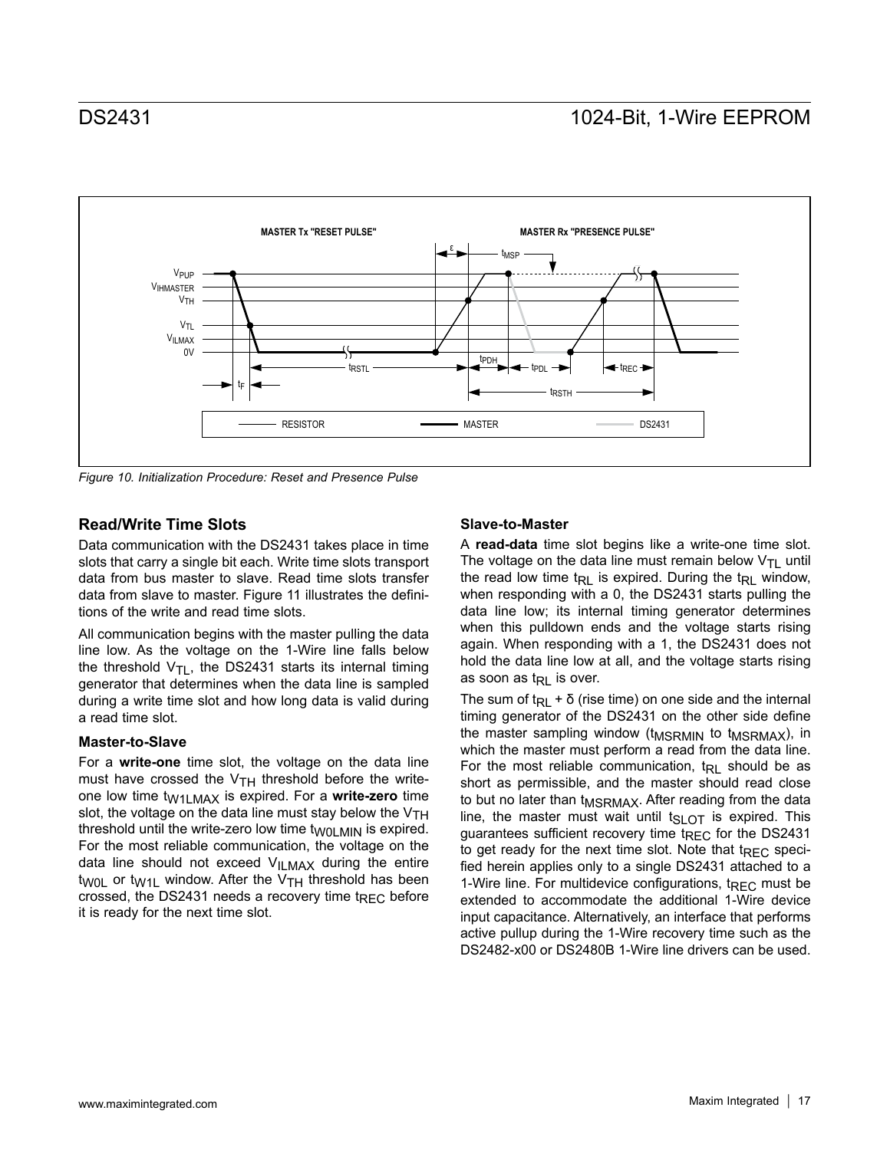

*Figure 10. Initialization Procedure: Reset and Presence Pulse*

### **Read/Write Time Slots**

Data communication with the DS2431 takes place in time slots that carry a single bit each. Write time slots transport data from bus master to slave. Read time slots transfer data from slave to master. Figure 11 illustrates the definitions of the write and read time slots.

All communication begins with the master pulling the data line low. As the voltage on the 1-Wire line falls below the threshold  $V_{TL}$ , the DS2431 starts its internal timing generator that determines when the data line is sampled during a write time slot and how long data is valid during a read time slot.

### **Master-to-Slave**

For a **write-one** time slot, the voltage on the data line must have crossed the  $V<sub>TH</sub>$  threshold before the writeone low time tW1LMAX is expired. For a **write-zero** time slot, the voltage on the data line must stay below the  $V_{TH}$ threshold until the write-zero low time  $t_{W0LMIN}$  is expired. For the most reliable communication, the voltage on the data line should not exceed  $V_{ILMAX}$  during the entire t<sub>W0L</sub> or t<sub>W1L</sub> window. After the  $V<sub>TH</sub>$  threshold has been crossed, the DS2431 needs a recovery time  $t_{\text{RFC}}$  before it is ready for the next time slot.

### **Slave-to-Master**

A **read-data** time slot begins like a write-one time slot. The voltage on the data line must remain below  $V_{\text{TI}}$  until the read low time t<sub>RL</sub> is expired. During the t<sub>RL</sub> window, when responding with a 0, the DS2431 starts pulling the data line low; its internal timing generator determines when this pulldown ends and the voltage starts rising again. When responding with a 1, the DS2431 does not hold the data line low at all, and the voltage starts rising as soon as  $t_{\text{RI}}$  is over.

The sum of t<sub>RL</sub> +  $\delta$  (rise time) on one side and the internal timing generator of the DS2431 on the other side define the master sampling window (t<sub>MSRMIN</sub> to t<sub>MSRMAX</sub>), in which the master must perform a read from the data line. For the most reliable communication,  $t_{RL}$  should be as short as permissible, and the master should read close to but no later than t<sub>MSRMAX</sub>. After reading from the data line, the master must wait until t<sub>SLOT</sub> is expired. This guarantees sufficient recovery time t<sub>REC</sub> for the DS2431 to get ready for the next time slot. Note that  $t_{\text{RFC}}$  specified herein applies only to a single DS2431 attached to a 1-Wire line. For multidevice configurations,  $t_{\text{RFC}}$  must be extended to accommodate the additional 1-Wire device input capacitance. Alternatively, an interface that performs active pullup during the 1-Wire recovery time such as the DS2482-x00 or DS2480B 1-Wire line drivers can be used.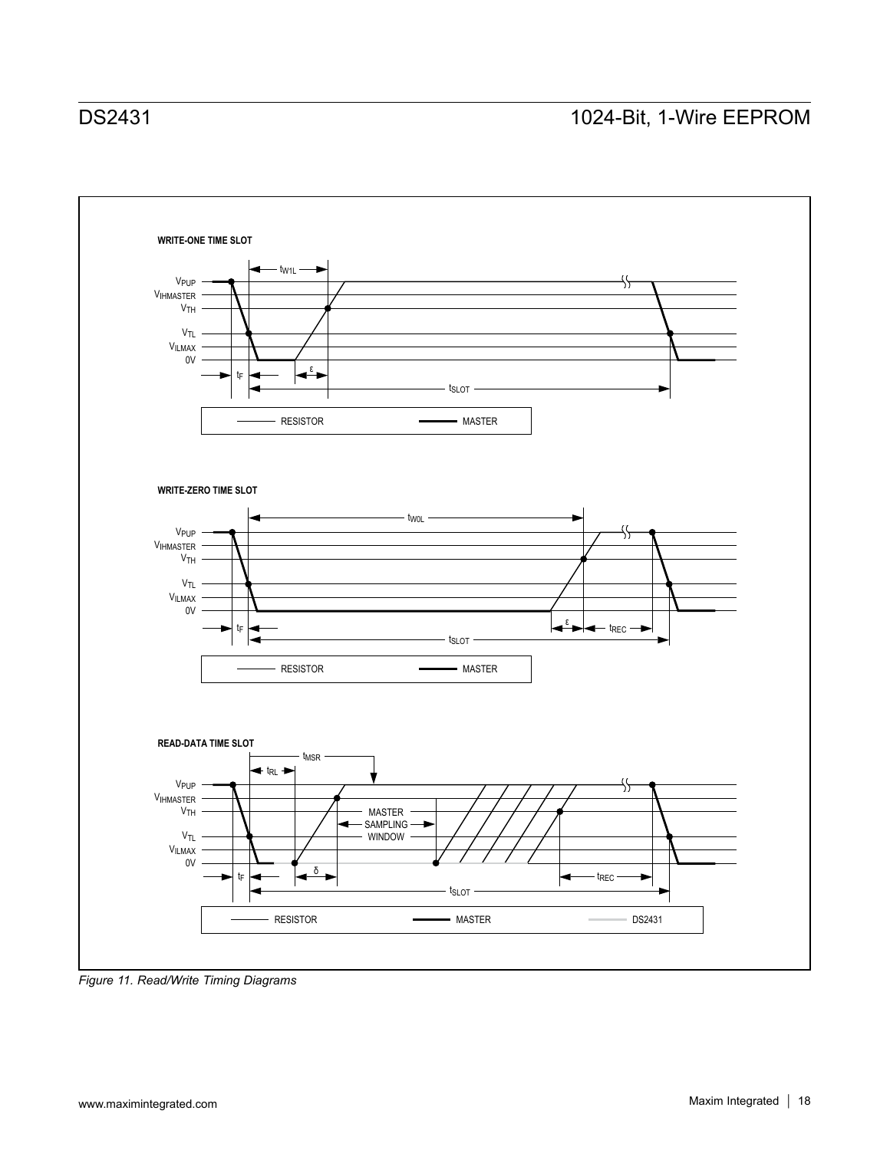

*Figure 11. Read/Write Timing Diagrams*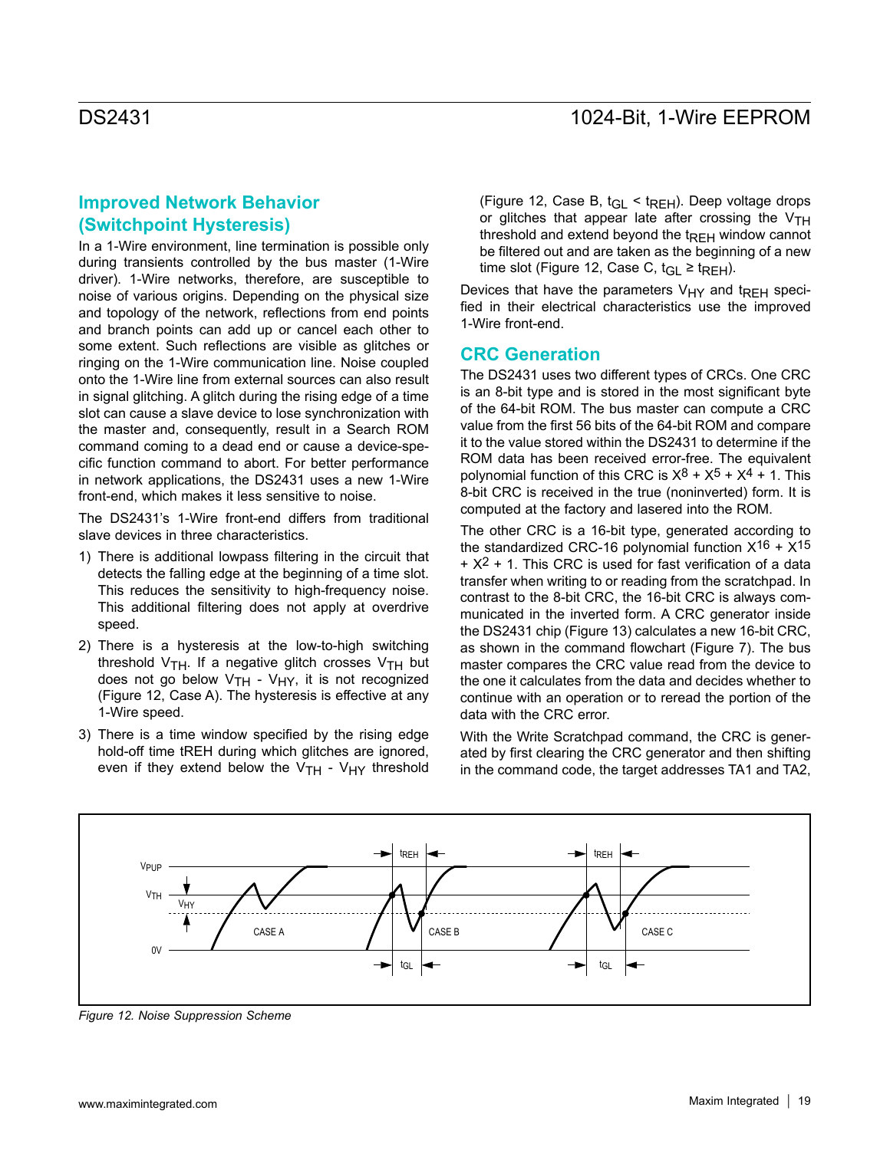## **Improved Network Behavior (Switchpoint Hysteresis)**

In a 1-Wire environment, line termination is possible only during transients controlled by the bus master (1-Wire driver). 1-Wire networks, therefore, are susceptible to noise of various origins. Depending on the physical size and topology of the network, reflections from end points and branch points can add up or cancel each other to some extent. Such reflections are visible as glitches or ringing on the 1-Wire communication line. Noise coupled onto the 1-Wire line from external sources can also result in signal glitching. A glitch during the rising edge of a time slot can cause a slave device to lose synchronization with the master and, consequently, result in a Search ROM command coming to a dead end or cause a device-specific function command to abort. For better performance in network applications, the DS2431 uses a new 1-Wire front-end, which makes it less sensitive to noise.

The DS2431's 1-Wire front-end differs from traditional slave devices in three characteristics.

- 1) There is additional lowpass filtering in the circuit that detects the falling edge at the beginning of a time slot. This reduces the sensitivity to high-frequency noise. This additional filtering does not apply at overdrive speed.
- 2) There is a hysteresis at the low-to-high switching threshold  $V_{TH}$ . If a negative glitch crosses  $V_{TH}$  but does not go below  $V_{TH}$  -  $V_{HY}$ , it is not recognized (Figure 12, Case A). The hysteresis is effective at any 1-Wire speed.
- 3) There is a time window specified by the rising edge hold-off time tREH during which glitches are ignored, even if they extend below the  $V<sub>TH</sub>$  -  $V<sub>HY</sub>$  threshold

(Figure 12, Case B,  $t_{\text{GI}} < t_{\text{RFH}}$ ). Deep voltage drops or glitches that appear late after crossing the  $V<sub>TH</sub>$ threshold and extend beyond the  $t_{REH}$  window cannot be filtered out and are taken as the beginning of a new time slot (Figure 12, Case C, t<sub>GL</sub> ≥ t<sub>REH</sub>).

Devices that have the parameters  $V_{HY}$  and t<sub>RFH</sub> specified in their electrical characteristics use the improved 1-Wire front-end.

### **CRC Generation**

The DS2431 uses two different types of CRCs. One CRC is an 8-bit type and is stored in the most significant byte of the 64-bit ROM. The bus master can compute a CRC value from the first 56 bits of the 64-bit ROM and compare it to the value stored within the DS2431 to determine if the ROM data has been received error-free. The equivalent polynomial function of this CRC is  $X^8 + X^5 + X^4 + 1$ . This 8-bit CRC is received in the true (noninverted) form. It is computed at the factory and lasered into the ROM.

The other CRC is a 16-bit type, generated according to the standardized CRC-16 polynomial function  $X^{16} + X^{15}$  $+ X<sup>2</sup> + 1$ . This CRC is used for fast verification of a data transfer when writing to or reading from the scratchpad. In contrast to the 8-bit CRC, the 16-bit CRC is always communicated in the inverted form. A CRC generator inside the DS2431 chip (Figure 13) calculates a new 16-bit CRC, as shown in the command flowchart (Figure 7). The bus master compares the CRC value read from the device to the one it calculates from the data and decides whether to continue with an operation or to reread the portion of the data with the CRC error.

With the Write Scratchpad command, the CRC is generated by first clearing the CRC generator and then shifting in the command code, the target addresses TA1 and TA2,



*Figure 12. Noise Suppression Scheme*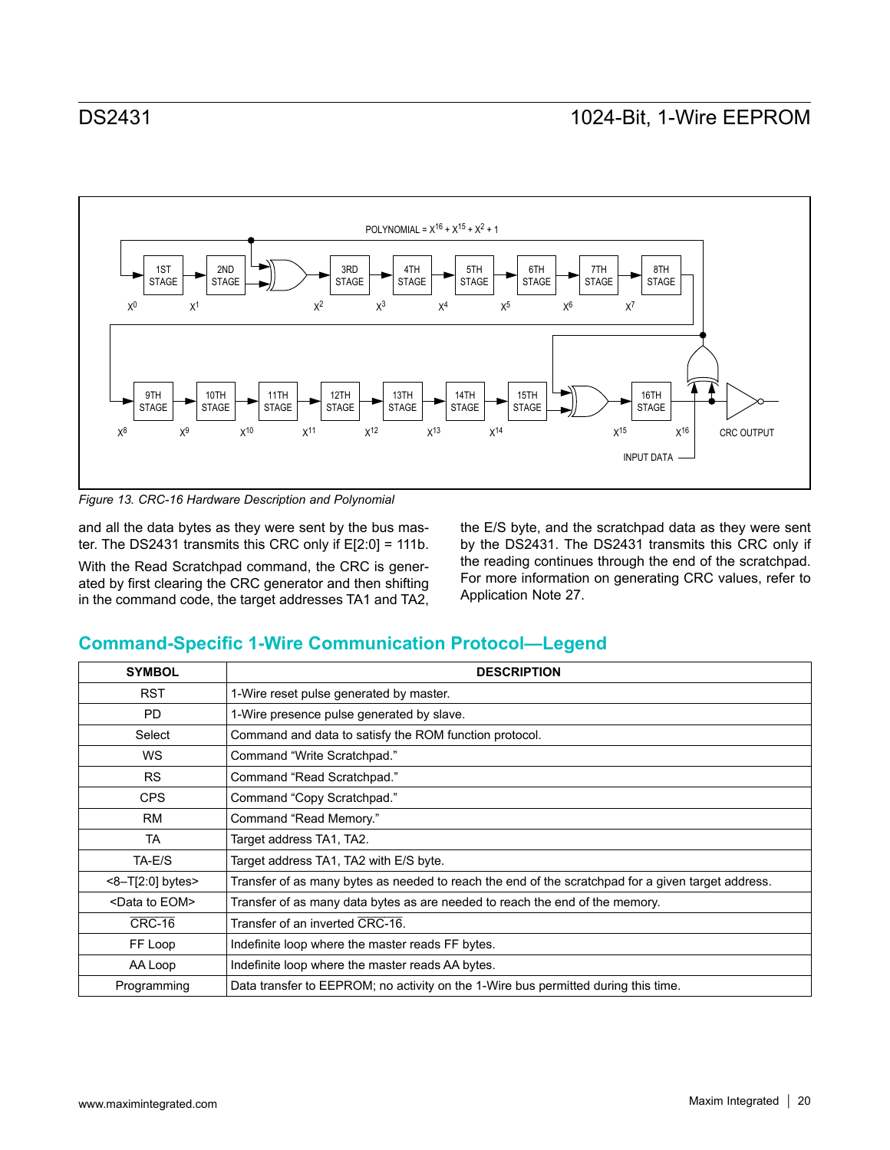

*Figure 13. CRC-16 Hardware Description and Polynomial*

and all the data bytes as they were sent by the bus master. The DS2431 transmits this CRC only if E[2:0] = 111b.

With the Read Scratchpad command, the CRC is generated by first clearing the CRC generator and then shifting in the command code, the target addresses TA1 and TA2, the E/S byte, and the scratchpad data as they were sent by the DS2431. The DS2431 transmits this CRC only if the reading continues through the end of the scratchpad. For more information on generating CRC values, refer to Application Note 27.

## **Command-Specific 1-Wire Communication Protocol—Legend**

| <b>SYMBOL</b>              | <b>DESCRIPTION</b>                                                                                 |
|----------------------------|----------------------------------------------------------------------------------------------------|
| <b>RST</b>                 | 1-Wire reset pulse generated by master.                                                            |
| <b>PD</b>                  | 1-Wire presence pulse generated by slave.                                                          |
| Select                     | Command and data to satisfy the ROM function protocol.                                             |
| <b>WS</b>                  | Command "Write Scratchpad."                                                                        |
| <b>RS</b>                  | Command "Read Scratchpad."                                                                         |
| <b>CPS</b>                 | Command "Copy Scratchpad."                                                                         |
| <b>RM</b>                  | Command "Read Memory."                                                                             |
| <b>TA</b>                  | Target address TA1, TA2.                                                                           |
| TA-E/S                     | Target address TA1, TA2 with E/S byte.                                                             |
| $<8$ -T[2:0] bytes>        | Transfer of as many bytes as needed to reach the end of the scratchpad for a given target address. |
| <data eom="" to=""></data> | Transfer of as many data bytes as are needed to reach the end of the memory.                       |
| <b>CRC-16</b>              | Transfer of an inverted CRC-16.                                                                    |
| FF Loop                    | Indefinite loop where the master reads FF bytes.                                                   |
| AA Loop                    | Indefinite loop where the master reads AA bytes.                                                   |
| Programming                | Data transfer to EEPROM; no activity on the 1-Wire bus permitted during this time.                 |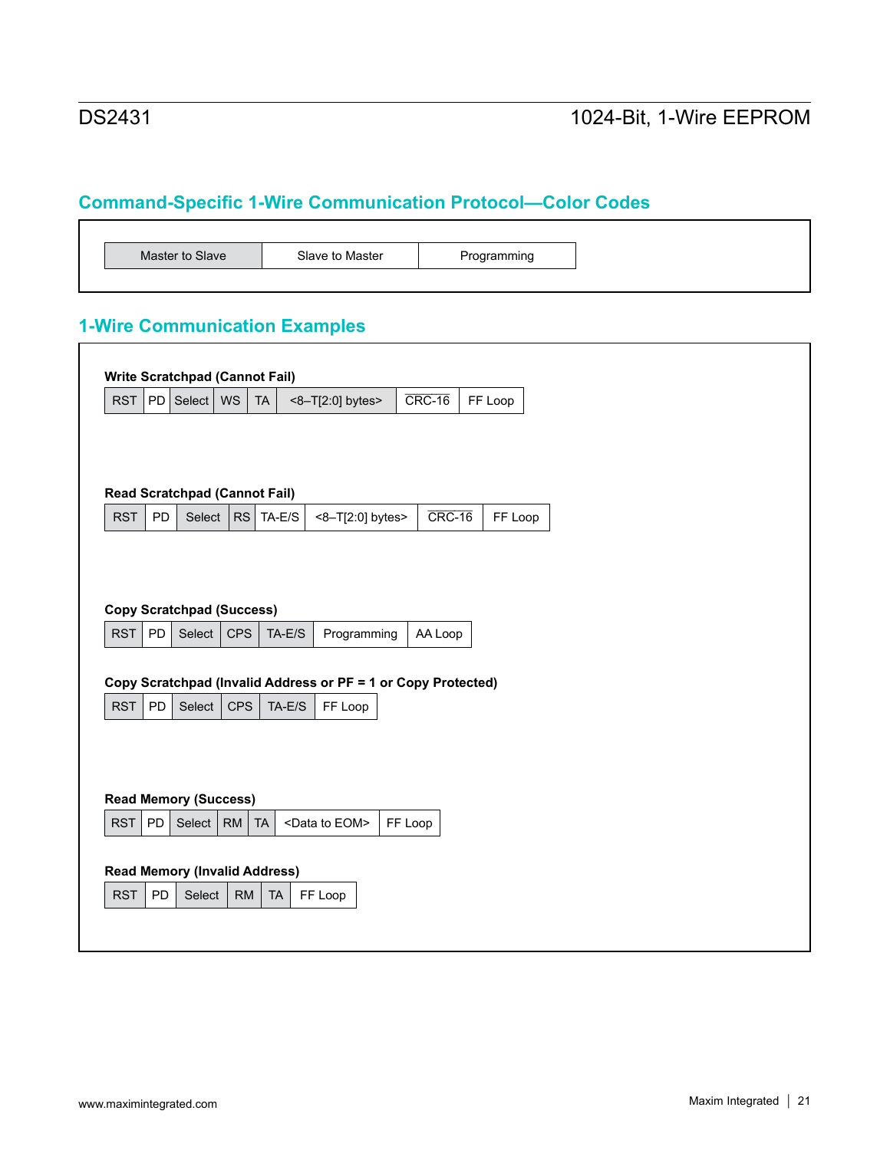┑

# **Command-Specific 1-Wire Communication Protocol—Color Codes**

# **1-Wire Communication Examples**

| <b>RST</b> | PD        | Select   WS                          |               | <b>TA</b> | <8-T[2:0] bytes>                                              | $CRC-16$ | FF Loop |         |
|------------|-----------|--------------------------------------|---------------|-----------|---------------------------------------------------------------|----------|---------|---------|
|            |           |                                      |               |           |                                                               |          |         |         |
|            |           |                                      |               |           |                                                               |          |         |         |
|            |           |                                      |               |           |                                                               |          |         |         |
|            |           | <b>Read Scratchpad (Cannot Fail)</b> |               |           |                                                               |          |         |         |
| <b>RST</b> | PD        |                                      | Select $ RS $ | TA-E/S    | <8-T[2:0] bytes>                                              | $CRC-16$ |         | FF Loop |
|            |           |                                      |               |           |                                                               |          |         |         |
|            |           |                                      |               |           |                                                               |          |         |         |
|            |           |                                      |               |           |                                                               |          |         |         |
|            |           | <b>Copy Scratchpad (Success)</b>     |               |           |                                                               |          |         |         |
|            |           |                                      |               |           |                                                               |          |         |         |
|            |           |                                      |               |           |                                                               |          |         |         |
| <b>RST</b> | <b>PD</b> | Select                               | <b>CPS</b>    | $TA-E/S$  | Programming                                                   | AA Loop  |         |         |
|            |           |                                      |               |           |                                                               |          |         |         |
|            |           |                                      |               |           |                                                               |          |         |         |
|            |           |                                      |               |           | Copy Scratchpad (Invalid Address or PF = 1 or Copy Protected) |          |         |         |
| <b>RST</b> | PD        | Select                               | <b>CPS</b>    | $TA-E/S$  | FF Loop                                                       |          |         |         |
|            |           |                                      |               |           |                                                               |          |         |         |
|            |           |                                      |               |           |                                                               |          |         |         |
|            |           |                                      |               |           |                                                               |          |         |         |
|            |           |                                      |               |           |                                                               |          |         |         |
|            |           | <b>Read Memory (Success)</b>         |               |           |                                                               |          |         |         |
| <b>RST</b> | PD        | Select                               | RM            | <b>TA</b> | <data eom="" to=""></data>                                    | FF Loop  |         |         |
|            |           |                                      |               |           |                                                               |          |         |         |
|            |           |                                      |               |           |                                                               |          |         |         |
|            |           | <b>Read Memory (Invalid Address)</b> |               |           |                                                               |          |         |         |
| <b>RST</b> | PD        | Select                               | <b>RM</b>     | <b>TA</b> | FF Loop                                                       |          |         |         |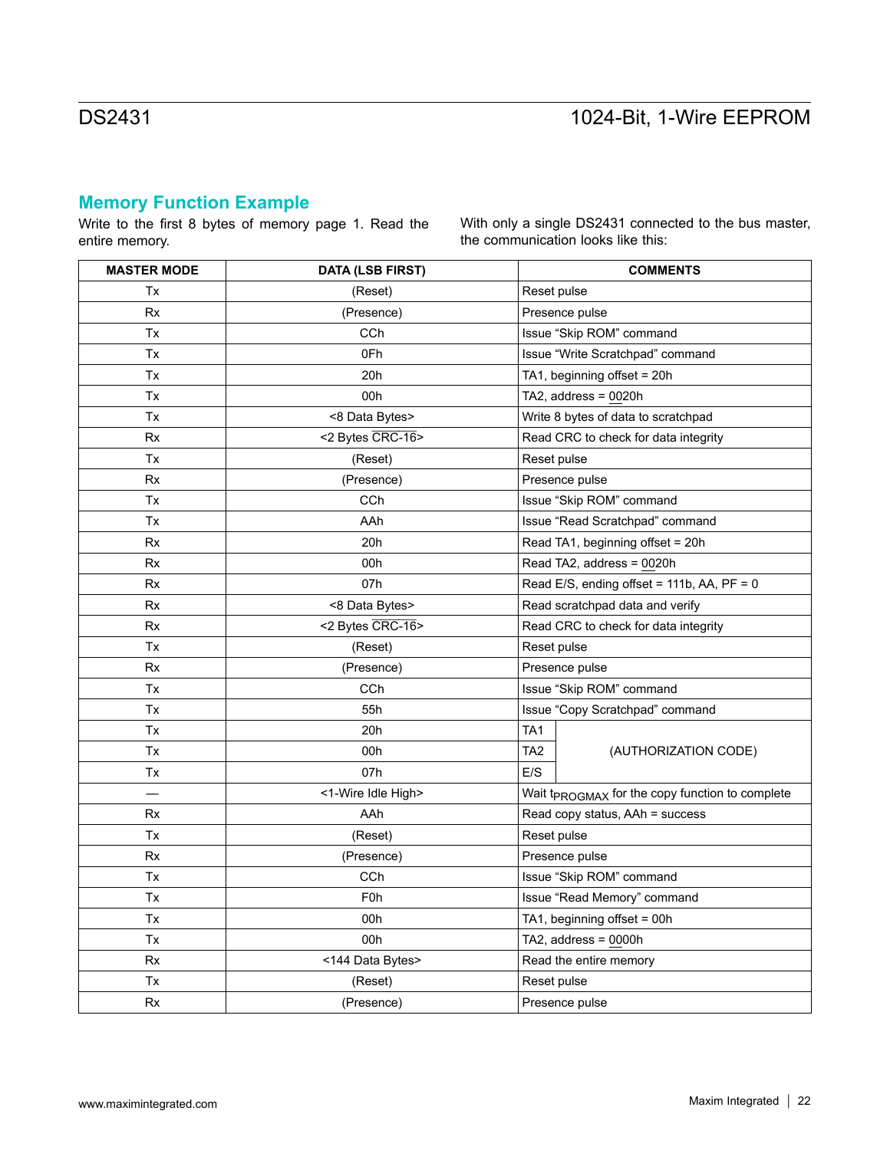# **Memory Function Example**

Write to the first 8 bytes of memory page 1. Read the entire memory.

With only a single DS2431 connected to the bus master, the communication looks like this:

| <b>MASTER MODE</b> | <b>DATA (LSB FIRST)</b> | <b>COMMENTS</b>                                             |  |
|--------------------|-------------------------|-------------------------------------------------------------|--|
| Tx                 | (Reset)                 | Reset pulse                                                 |  |
| <b>Rx</b>          | (Presence)              | Presence pulse                                              |  |
| Tx                 | <b>CCh</b>              | Issue "Skip ROM" command                                    |  |
| Tx                 | 0Fh                     | Issue "Write Scratchpad" command                            |  |
| Tx                 | 20h                     | TA1, beginning offset = 20h                                 |  |
| Tx                 | 00h                     | TA2, address = $0020h$                                      |  |
| Tx                 | <8 Data Bytes>          | Write 8 bytes of data to scratchpad                         |  |
| <b>Rx</b>          | <2 Bytes CRC-16>        | Read CRC to check for data integrity                        |  |
| Tx                 | (Reset)                 | Reset pulse                                                 |  |
| Rx                 | (Presence)              | Presence pulse                                              |  |
| Tx                 | <b>CCh</b>              | Issue "Skip ROM" command                                    |  |
| Tx                 | AAh                     | Issue "Read Scratchpad" command                             |  |
| Rx                 | 20h                     | Read TA1, beginning offset = 20h                            |  |
| Rx                 | 00h                     | Read TA2, address = 0020h                                   |  |
| Rx                 | 07h                     | Read E/S, ending offset = 111b, AA, PF = 0                  |  |
| Rx                 | <8 Data Bytes>          | Read scratchpad data and verify                             |  |
| Rx                 | <2 Bytes CRC-16>        | Read CRC to check for data integrity                        |  |
| Tx                 | (Reset)                 | Reset pulse                                                 |  |
| <b>Rx</b>          | (Presence)              | Presence pulse                                              |  |
| Tx                 | CCh                     | Issue "Skip ROM" command                                    |  |
| Tx                 | 55h                     | Issue "Copy Scratchpad" command                             |  |
| Tx                 | 20h                     | TA <sub>1</sub>                                             |  |
| Tx                 | 00h                     | TA <sub>2</sub><br>(AUTHORIZATION CODE)                     |  |
| Tx                 | 07h                     | E/S                                                         |  |
|                    | <1-Wire Idle High>      | Wait t <sub>PROGMAX</sub> for the copy function to complete |  |
| Rx                 | AAh                     | Read copy status, AAh = success                             |  |
| Tx                 | (Reset)                 | Reset pulse                                                 |  |
| Rx                 | (Presence)              | Presence pulse                                              |  |
| Tx                 | CCh                     | Issue "Skip ROM" command                                    |  |
| Tx                 | F <sub>0</sub> h        | Issue "Read Memory" command                                 |  |
| Tx                 | 00h                     | TA1, beginning offset = $00h$                               |  |
| Tx                 | 00h                     | TA2, address = $0000h$                                      |  |
| Rx                 | <144 Data Bytes>        | Read the entire memory                                      |  |
| Tx                 | (Reset)                 | Reset pulse                                                 |  |
| <b>Rx</b>          | (Presence)              | Presence pulse                                              |  |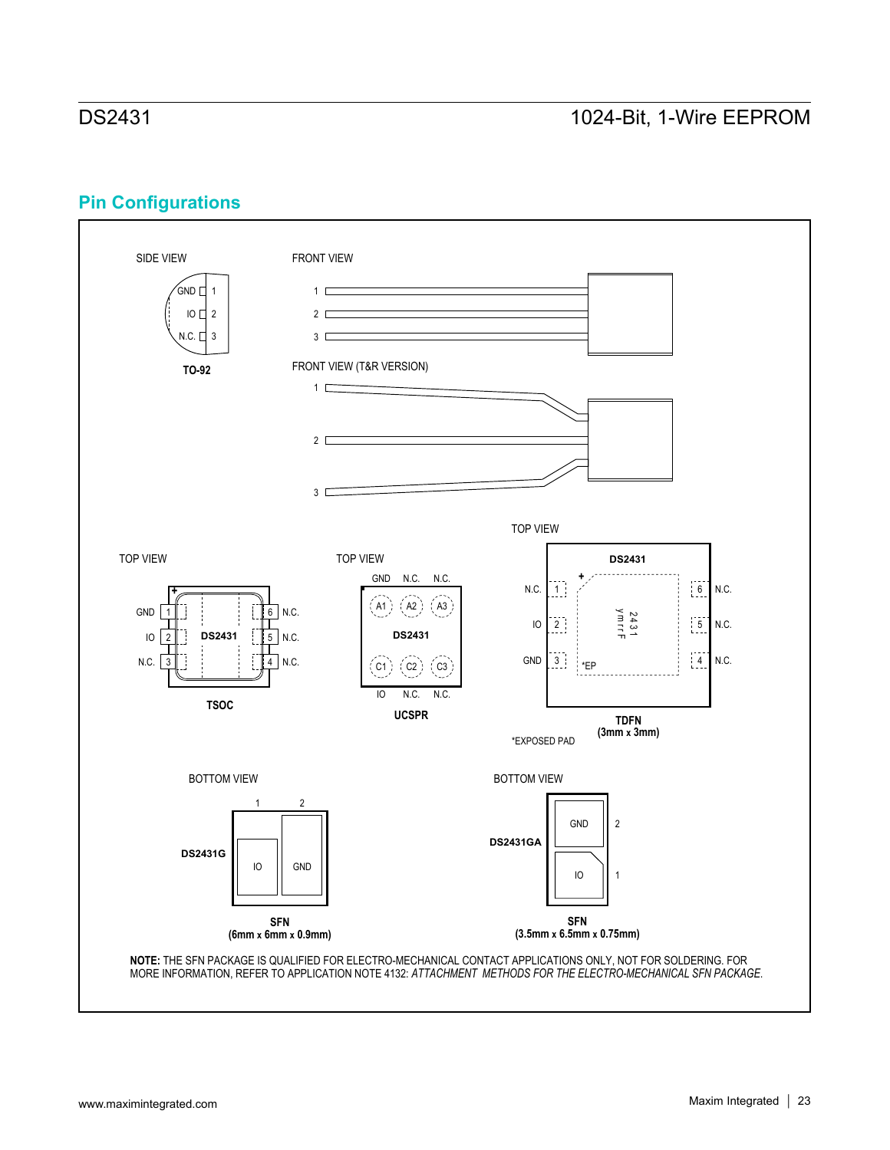# **Pin Configurations**

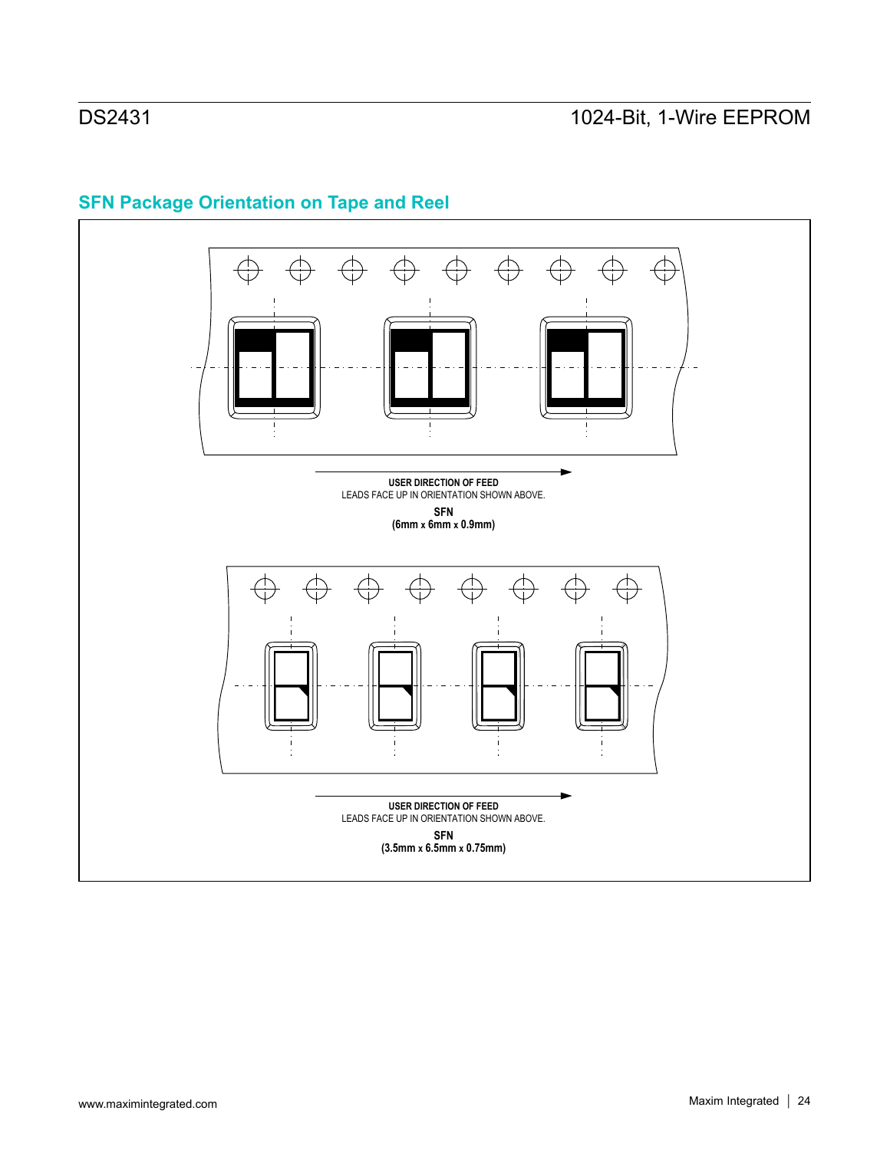

# **SFN Package Orientation on Tape and Reel**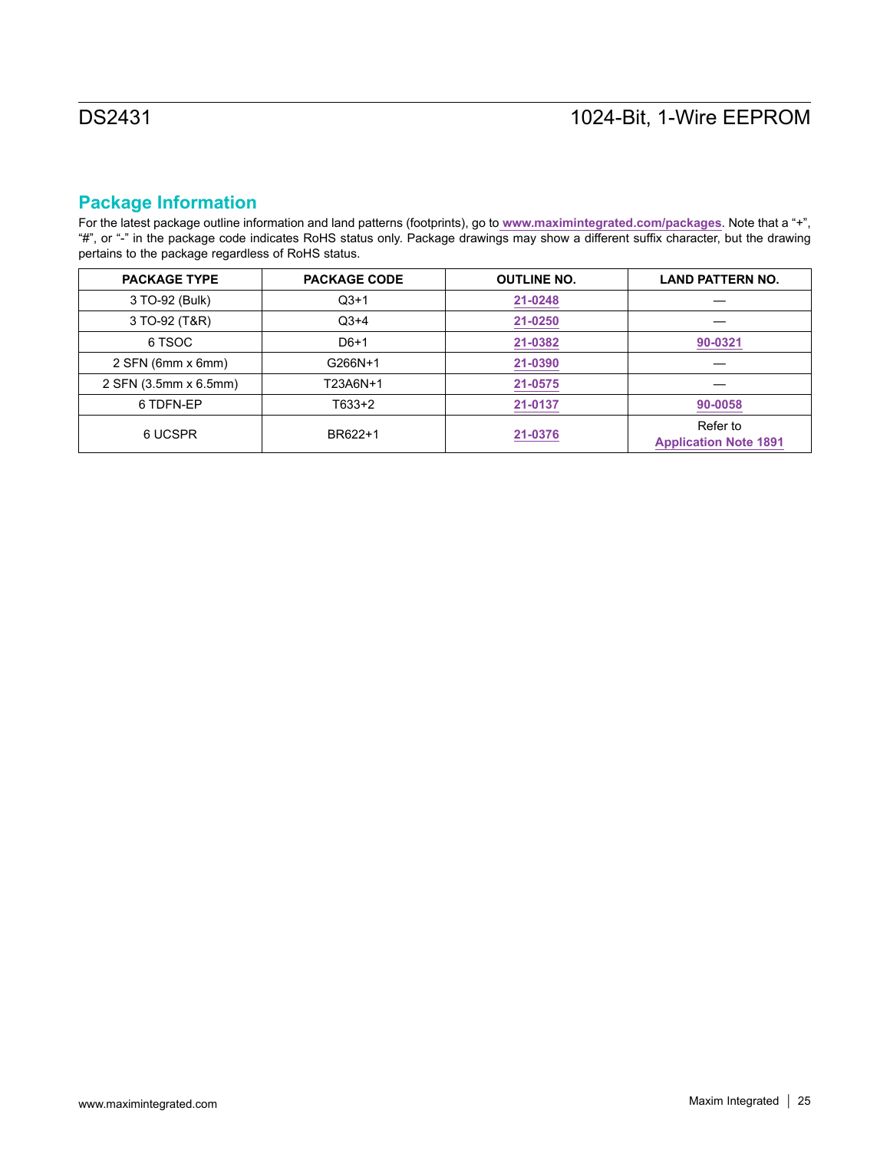# **Package Information**

For the latest package outline information and land patterns (footprints), go to **[www.maximintegrated.com/packages](http://www.maximintegrated.com/packages)**. Note that a "+", "#", or "-" in the package code indicates RoHS status only. Package drawings may show a different suffix character, but the drawing pertains to the package regardless of RoHS status.

| <b>PACKAGE TYPE</b>   | <b>PACKAGE CODE</b> | <b>OUTLINE NO.</b> | <b>LAND PATTERN NO.</b>                  |  |
|-----------------------|---------------------|--------------------|------------------------------------------|--|
| 3 TO-92 (Bulk)        | $Q$ 3+1             | 21-0248            |                                          |  |
| 3 TO-92 (T&R)         | $Q3+4$              | 21-0250            |                                          |  |
| 6 TSOC                | $D6+1$              | 21-0382            | 90-0321                                  |  |
| 2 SFN (6mm x 6mm)     | G266N+1             | 21-0390            |                                          |  |
| 2 SFN (3.5mm x 6.5mm) | T23A6N+1            | 21-0575            |                                          |  |
| 6 TDFN-EP             | T633+2              | 21-0137            | 90-0058                                  |  |
| 6 UCSPR               | BR622+1             | 21-0376            | Refer to<br><b>Application Note 1891</b> |  |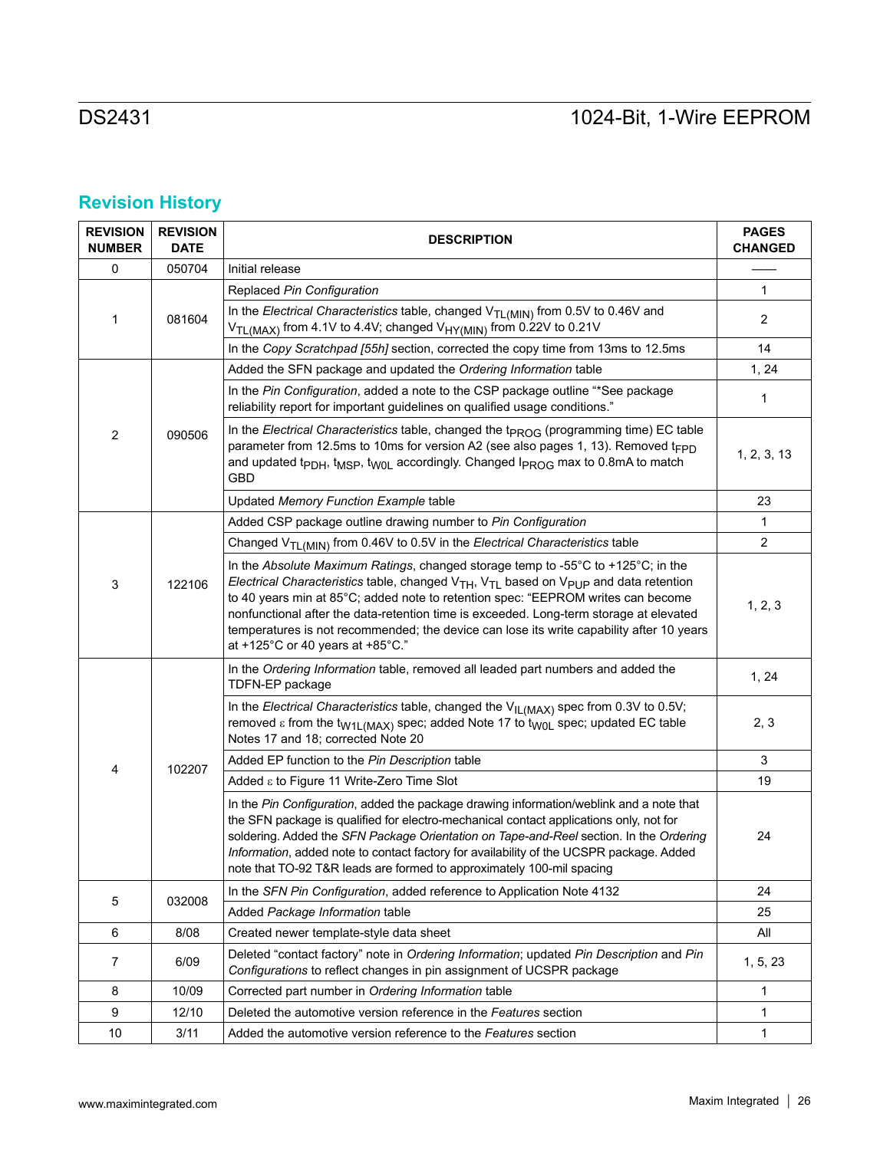# **Revision History**

| <b>REVISION</b><br><b>NUMBER</b> | <b>REVISION</b><br><b>DATE</b> | <b>DESCRIPTION</b>                                                                                                                                                                                                                                                                                                                                                                                                                                                                                    |             |
|----------------------------------|--------------------------------|-------------------------------------------------------------------------------------------------------------------------------------------------------------------------------------------------------------------------------------------------------------------------------------------------------------------------------------------------------------------------------------------------------------------------------------------------------------------------------------------------------|-------------|
| 0                                | 050704                         | Initial release                                                                                                                                                                                                                                                                                                                                                                                                                                                                                       |             |
| 1                                |                                | Replaced Pin Configuration                                                                                                                                                                                                                                                                                                                                                                                                                                                                            | 1           |
|                                  | 081604                         | In the Electrical Characteristics table, changed $V_{TL(MIN)}$ from 0.5V to 0.46V and<br>V <sub>TL(MAX)</sub> from 4.1V to 4.4V; changed V <sub>HY(MIN)</sub> from 0.22V to 0.21V                                                                                                                                                                                                                                                                                                                     | 2           |
|                                  |                                | In the Copy Scratchpad [55h] section, corrected the copy time from 13ms to 12.5ms                                                                                                                                                                                                                                                                                                                                                                                                                     | 14          |
|                                  | 090506                         | Added the SFN package and updated the Ordering Information table                                                                                                                                                                                                                                                                                                                                                                                                                                      | 1, 24       |
| $\overline{2}$                   |                                | In the Pin Configuration, added a note to the CSP package outline "*See package<br>reliability report for important guidelines on qualified usage conditions."                                                                                                                                                                                                                                                                                                                                        | 1           |
|                                  |                                | In the Electrical Characteristics table, changed the t <sub>PROG</sub> (programming time) EC table<br>parameter from 12.5ms to 10ms for version A2 (see also pages 1, 13). Removed t <sub>FPD</sub><br>and updated t <sub>PDH</sub> , t <sub>MSP</sub> , t <sub>W0L</sub> accordingly. Changed l <sub>PROG</sub> max to 0.8mA to match<br><b>GBD</b>                                                                                                                                                  | 1, 2, 3, 13 |
|                                  |                                | Updated Memory Function Example table                                                                                                                                                                                                                                                                                                                                                                                                                                                                 | 23          |
|                                  |                                | Added CSP package outline drawing number to Pin Configuration                                                                                                                                                                                                                                                                                                                                                                                                                                         | 1           |
|                                  |                                | Changed V <sub>TL(MIN)</sub> from 0.46V to 0.5V in the Electrical Characteristics table                                                                                                                                                                                                                                                                                                                                                                                                               | 2           |
| 3                                | 122106                         | In the Absolute Maximum Ratings, changed storage temp to -55°C to +125°C; in the<br>Electrical Characteristics table, changed $V_{TH}$ , $V_{TL}$ based on $V_{PUP}$ and data retention<br>to 40 years min at 85°C; added note to retention spec: "EEPROM writes can become<br>nonfunctional after the data-retention time is exceeded. Long-term storage at elevated<br>temperatures is not recommended; the device can lose its write capability after 10 years<br>at +125°C or 40 years at +85°C." | 1, 2, 3     |
|                                  | 102207                         | In the Ordering Information table, removed all leaded part numbers and added the<br>TDFN-EP package                                                                                                                                                                                                                                                                                                                                                                                                   | 1, 24       |
|                                  |                                | In the Electrical Characteristics table, changed the $V_{IL(MAX)}$ spec from 0.3V to 0.5V;<br>removed $\varepsilon$ from the t <sub>W1L(MAX)</sub> spec; added Note 17 to t <sub>W0L</sub> spec; updated EC table<br>Notes 17 and 18; corrected Note 20                                                                                                                                                                                                                                               | 2, 3        |
| 4                                |                                | Added EP function to the Pin Description table                                                                                                                                                                                                                                                                                                                                                                                                                                                        | 3           |
|                                  |                                | Added ε to Figure 11 Write-Zero Time Slot                                                                                                                                                                                                                                                                                                                                                                                                                                                             | 19          |
|                                  |                                | In the Pin Configuration, added the package drawing information/weblink and a note that<br>the SFN package is qualified for electro-mechanical contact applications only, not for<br>soldering. Added the SFN Package Orientation on Tape-and-Reel section. In the Ordering<br>Information, added note to contact factory for availability of the UCSPR package. Added<br>note that TO-92 T&R leads are formed to approximately 100-mil spacing                                                       | 24          |
| 5                                |                                | In the SFN Pin Configuration, added reference to Application Note 4132                                                                                                                                                                                                                                                                                                                                                                                                                                | 24          |
|                                  | 032008                         | Added Package Information table                                                                                                                                                                                                                                                                                                                                                                                                                                                                       | 25          |
| 6                                | 8/08                           | Created newer template-style data sheet                                                                                                                                                                                                                                                                                                                                                                                                                                                               | All         |
| 7                                | 6/09                           | Deleted "contact factory" note in Ordering Information; updated Pin Description and Pin<br>Configurations to reflect changes in pin assignment of UCSPR package                                                                                                                                                                                                                                                                                                                                       |             |
| 8                                | 10/09                          | Corrected part number in Ordering Information table                                                                                                                                                                                                                                                                                                                                                                                                                                                   |             |
| 9                                | 12/10                          | Deleted the automotive version reference in the Features section                                                                                                                                                                                                                                                                                                                                                                                                                                      |             |
| 10                               | 3/11                           | Added the automotive version reference to the Features section                                                                                                                                                                                                                                                                                                                                                                                                                                        |             |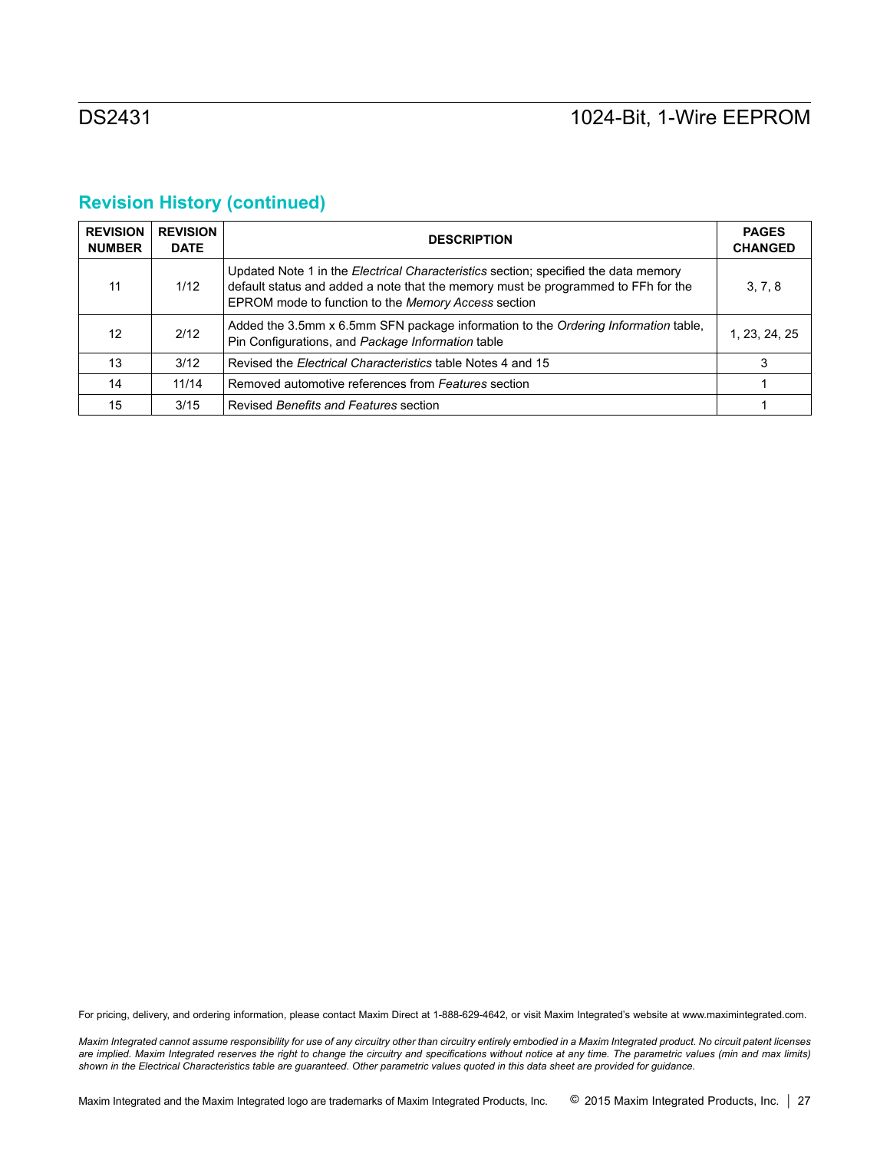# **Revision History (continued)**

| <b>REVISION</b><br><b>NUMBER</b> | <b>REVISION</b><br><b>DATE</b> | <b>DESCRIPTION</b>                                                                                                                                                                                                                     | <b>PAGES</b><br><b>CHANGED</b> |
|----------------------------------|--------------------------------|----------------------------------------------------------------------------------------------------------------------------------------------------------------------------------------------------------------------------------------|--------------------------------|
| 11                               | 1/12                           | Updated Note 1 in the <i>Electrical Characteristics</i> section; specified the data memory<br>default status and added a note that the memory must be programmed to FFh for the<br>EPROM mode to function to the Memory Access section | 3, 7, 8                        |
| 12 <sup>2</sup>                  | 2/12                           | Added the 3.5mm x 6.5mm SFN package information to the Ordering Information table,<br>Pin Configurations, and Package Information table                                                                                                | 1, 23, 24, 25                  |
| 13                               | 3/12                           | Revised the Electrical Characteristics table Notes 4 and 15                                                                                                                                                                            | 3                              |
| 14                               | 11/14                          | Removed automotive references from Features section                                                                                                                                                                                    |                                |
| 15                               | 3/15                           | Revised Benefits and Features section                                                                                                                                                                                                  |                                |

For pricing, delivery, and ordering information, please contact Maxim Direct at 1-888-629-4642, or visit Maxim Integrated's website at www.maximintegrated.com.

*Maxim Integrated cannot assume responsibility for use of any circuitry other than circuitry entirely embodied in a Maxim Integrated product. No circuit patent licenses*  are implied. Maxim Integrated reserves the right to change the circuitry and specifications without notice at any time. The parametric values (min and max limits) *shown in the Electrical Characteristics table are guaranteed. Other parametric values quoted in this data sheet are provided for guidance.*